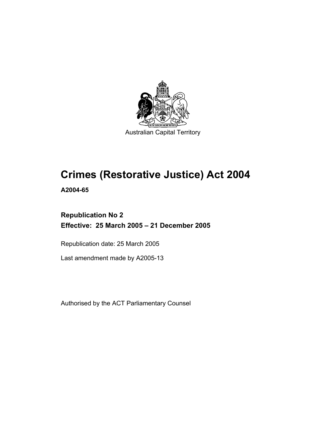

Australian Capital Territory

# **Crimes (Restorative Justice) Act 2004**

**A2004-65** 

# **Republication No 2 Effective: 25 March 2005 – 21 December 2005**

Republication date: 25 March 2005

Last amendment made by A2005-13

Authorised by the ACT Parliamentary Counsel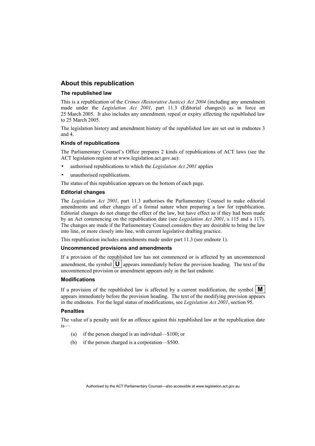## **About this republication**

#### **The republished law**

This is a republication of the *Crimes (Restorative Justice) Act 2004* (including any amendment made under the *Legislation Act 2001*, part 11.3 (Editorial changes)) as in force on 25 March 2005*.* It also includes any amendment, repeal or expiry affecting the republished law to 25 March 2005.

The legislation history and amendment history of the republished law are set out in endnotes 3 and 4.

#### **Kinds of republications**

The Parliamentary Counsel's Office prepares 2 kinds of republications of ACT laws (see the ACT legislation register at www.legislation.act.gov.au):

- authorised republications to which the *Legislation Act 2001* applies
- unauthorised republications.

The status of this republication appears on the bottom of each page.

#### **Editorial changes**

The *Legislation Act 2001*, part 11.3 authorises the Parliamentary Counsel to make editorial amendments and other changes of a formal nature when preparing a law for republication. Editorial changes do not change the effect of the law, but have effect as if they had been made by an Act commencing on the republication date (see *Legislation Act 2001*, s 115 and s 117). The changes are made if the Parliamentary Counsel considers they are desirable to bring the law into line, or more closely into line, with current legislative drafting practice.

This republication includes amendments made under part 11.3 (see endnote 1).

#### **Uncommenced provisions and amendments**

If a provision of the republished law has not commenced or is affected by an uncommenced amendment, the symbol  $\mathbf{U}$  appears immediately before the provision heading. The text of the uncommenced provision or amendment appears only in the last endnote.

#### **Modifications**

If a provision of the republished law is affected by a current modification, the symbol  $\mathbf{M}$ appears immediately before the provision heading. The text of the modifying provision appears in the endnotes. For the legal status of modifications, see *Legislation Act 2001*, section 95.

#### **Penalties**

The value of a penalty unit for an offence against this republished law at the republication date is—

- (a) if the person charged is an individual—\$100; or
- (b) if the person charged is a corporation—\$500.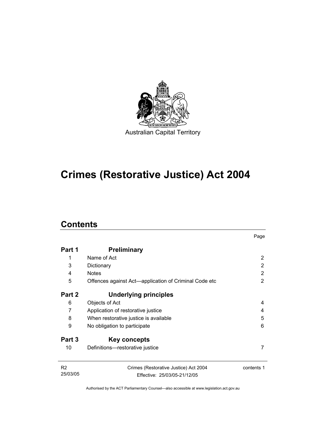

# **Crimes (Restorative Justice) Act 2004**

# **Contents**

|                            |                                                                       | Page          |  |
|----------------------------|-----------------------------------------------------------------------|---------------|--|
| Part 1                     | <b>Preliminary</b>                                                    |               |  |
| 1                          | Name of Act                                                           | 2             |  |
| 3                          | Dictionary                                                            | 2             |  |
| 4                          | <b>Notes</b>                                                          | 2             |  |
| 5                          | Offences against Act—application of Criminal Code etc                 | $\mathcal{P}$ |  |
| Part 2                     | Underlying principles                                                 |               |  |
| 6                          | Objects of Act                                                        | 4             |  |
| 7                          | Application of restorative justice                                    | 4             |  |
| 8                          | When restorative justice is available                                 |               |  |
| 9                          | No obligation to participate                                          |               |  |
| Part 3                     | Key concepts                                                          |               |  |
| 10                         | Definitions-restorative justice                                       | 7             |  |
| R <sub>2</sub><br>25/03/05 | Crimes (Restorative Justice) Act 2004<br>Fffective: 25/03/05-21/12/05 | contents 1    |  |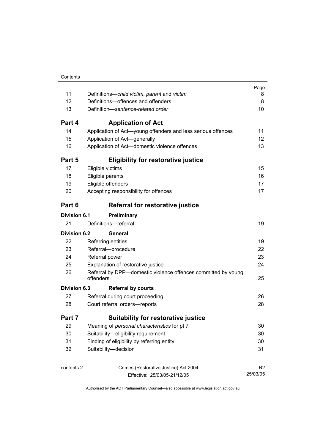| Contents |  |
|----------|--|
|          |  |

|                     |                                                                            | Page           |  |
|---------------------|----------------------------------------------------------------------------|----------------|--|
| 11                  | Definitions—child victim, parent and victim                                |                |  |
| 12                  | Definitions-offences and offenders                                         |                |  |
| 13                  | Definition-sentence-related order                                          |                |  |
| Part 4              | <b>Application of Act</b>                                                  |                |  |
| 14                  | Application of Act-young offenders and less serious offences               | 11             |  |
| 15                  | Application of Act-generally                                               | 12             |  |
| 16                  | Application of Act-domestic violence offences                              | 13             |  |
| Part 5              | <b>Eligibility for restorative justice</b>                                 |                |  |
| 17                  | Eligible victims                                                           | 15             |  |
| 18                  | Eligible parents                                                           | 16             |  |
| 19                  | Eligible offenders                                                         | 17             |  |
| 20                  | Accepting responsibility for offences                                      | 17             |  |
| Part 6              | Referral for restorative justice                                           |                |  |
| <b>Division 6.1</b> | Preliminary                                                                |                |  |
| 21                  | Definitions-referral                                                       | 19             |  |
| <b>Division 6.2</b> | General                                                                    |                |  |
| 22                  | Referring entities                                                         | 19             |  |
| 23                  | Referral-procedure                                                         | 22             |  |
| 24                  | Referral power                                                             |                |  |
| 25                  | Explanation of restorative justice                                         | 24             |  |
| 26                  | Referral by DPP-domestic violence offences committed by young<br>offenders | 25             |  |
| Division 6.3        | <b>Referral by courts</b>                                                  |                |  |
| 27                  | Referral during court proceeding                                           | 26             |  |
| 28                  | Court referral orders-reports                                              | 28             |  |
| Part 7              | <b>Suitability for restorative justice</b>                                 |                |  |
| 29                  | Meaning of personal characteristics for pt 7                               | 30             |  |
| 30                  | Suitability-eligibility requirement                                        | 30             |  |
| 31                  | Finding of eligibility by referring entity                                 |                |  |
| 32                  | Suitability-decision                                                       |                |  |
| contents 2          | Crimes (Restorative Justice) Act 2004                                      | R <sub>2</sub> |  |
|                     | Effective: 25/03/05-21/12/05                                               | 25/03/05       |  |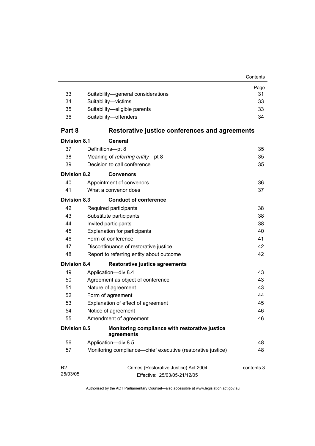| 33                         | Suitability-general considerations                                    | Page<br>31 |
|----------------------------|-----------------------------------------------------------------------|------------|
| 34                         | Suitability-victims                                                   | 33         |
| 35                         | Suitability-eligible parents                                          | 33         |
| 36                         | Suitability-offenders                                                 | 34         |
|                            |                                                                       |            |
| Part 8                     | Restorative justice conferences and agreements                        |            |
| <b>Division 8.1</b>        | General                                                               |            |
| 37                         | Definitions-pt 8                                                      | 35         |
| 38                         | Meaning of referring entity-pt 8                                      | 35         |
| 39                         | Decision to call conference                                           | 35         |
| <b>Division 8.2</b>        | <b>Convenors</b>                                                      |            |
| 40                         | Appointment of convenors                                              | 36         |
| 41                         | What a convenor does                                                  | 37         |
| <b>Division 8.3</b>        | <b>Conduct of conference</b>                                          |            |
| 42                         | Required participants                                                 | 38         |
| 43                         | Substitute participants                                               | 38         |
| 44                         | Invited participants                                                  | 38         |
| 45                         | <b>Explanation for participants</b>                                   | 40         |
| 46                         | Form of conference                                                    | 41         |
| 47                         | Discontinuance of restorative justice                                 | 42         |
| 48                         | Report to referring entity about outcome                              | 42         |
| <b>Division 8.4</b>        | <b>Restorative justice agreements</b>                                 |            |
| 49                         | Application-div 8.4                                                   | 43         |
| 50                         | Agreement as object of conference                                     | 43         |
| 51                         | Nature of agreement                                                   | 43         |
| 52                         | Form of agreement                                                     | 44         |
| 53                         | Explanation of effect of agreement                                    | 45         |
| 54                         | Notice of agreement                                                   | 46         |
| 55                         | Amendment of agreement                                                | 46         |
| <b>Division 8.5</b>        | Monitoring compliance with restorative justice<br>agreements          |            |
| 56                         | Application-div 8.5                                                   | 48         |
| 57                         | Monitoring compliance—chief executive (restorative justice)           | 48         |
| R <sub>2</sub><br>25/03/05 | Crimes (Restorative Justice) Act 2004<br>Effective: 25/03/05-21/12/05 | contents 3 |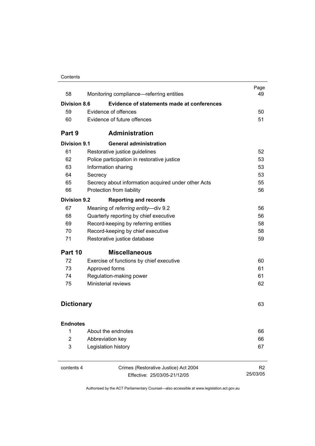#### **Contents**

| 58                  | Monitoring compliance—referring entities            | Page<br>49 |
|---------------------|-----------------------------------------------------|------------|
|                     |                                                     |            |
| <b>Division 8.6</b> | <b>Evidence of statements made at conferences</b>   |            |
| 59                  | Evidence of offences                                | 50         |
| 60                  | Evidence of future offences                         | 51         |
| Part 9              | <b>Administration</b>                               |            |
| Division 9.1        | <b>General administration</b>                       |            |
| 61                  | Restorative justice guidelines                      | 52         |
| 62                  | Police participation in restorative justice         | 53         |
| 63                  | Information sharing                                 | 53         |
| 64                  | Secrecy                                             | 53         |
| 65                  | Secrecy about information acquired under other Acts | 55         |
| 66                  | Protection from liability                           | 56         |
| <b>Division 9.2</b> | <b>Reporting and records</b>                        |            |
| 67                  | Meaning of referring entity-div 9.2                 | 56         |
| 68                  | Quarterly reporting by chief executive              | 56         |
| 69                  | Record-keeping by referring entities                | 58         |
| 70                  | Record-keeping by chief executive                   | 58         |
| 71                  | Restorative justice database                        | 59         |
| Part 10             | <b>Miscellaneous</b>                                |            |
| 72                  | Exercise of functions by chief executive            | 60         |
| 73                  | Approved forms                                      | 61         |
| 74                  | Regulation-making power                             | 61         |
| 75                  | Ministerial reviews                                 | 62         |
|                     |                                                     |            |
| <b>Dictionary</b>   |                                                     | 63         |
| <b>Endnotes</b>     |                                                     |            |
| 1                   | About the endnotes                                  | 66         |
| $\overline{2}$      | Abbreviation key                                    | 66         |
| 3                   | Legislation history                                 | 67         |
|                     |                                                     |            |
|                     |                                                     |            |

| contents 4 |  |
|------------|--|
|------------|--|

Crimes (Restorative Justice) Act 2004 Effective: 25/03/05-21/12/05

R2 25/03/05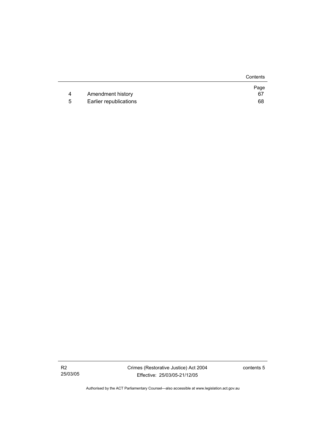|   |                        | Contents |
|---|------------------------|----------|
|   |                        | Page     |
| 4 | Amendment history      | 67       |
| 5 | Earlier republications | 68       |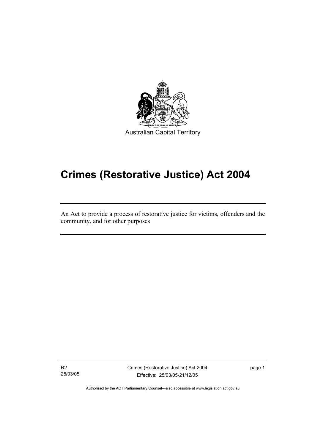

# **Crimes (Restorative Justice) Act 2004**

An Act to provide a process of restorative justice for victims, offenders and the community, and for other purposes

R2 25/03/05

I

Crimes (Restorative Justice) Act 2004 Effective: 25/03/05-21/12/05

page 1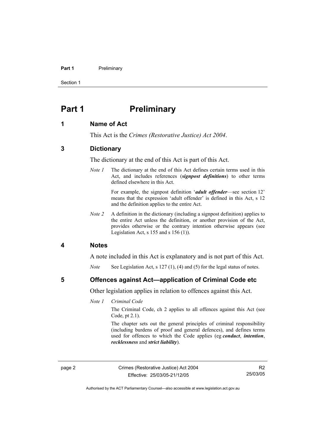#### **Part 1** Preliminary

Section 1

# **Part 1** Preliminary

### **1 Name of Act**

This Act is the *Crimes (Restorative Justice) Act 2004*.

# **3 Dictionary**

The dictionary at the end of this Act is part of this Act.

*Note 1* The dictionary at the end of this Act defines certain terms used in this Act, and includes references (*signpost definitions*) to other terms defined elsewhere in this Act.

> For example, the signpost definition '*adult offender*—see section 12' means that the expression 'adult offender' is defined in this Act, s 12 and the definition applies to the entire Act.

*Note 2* A definition in the dictionary (including a signpost definition) applies to the entire Act unless the definition, or another provision of the Act, provides otherwise or the contrary intention otherwise appears (see Legislation Act, s  $155$  and s  $156$  (1)).

#### **4 Notes**

A note included in this Act is explanatory and is not part of this Act.

*Note* See Legislation Act, s 127 (1), (4) and (5) for the legal status of notes.

**5 Offences against Act—application of Criminal Code etc** 

Other legislation applies in relation to offences against this Act.

*Note 1 Criminal Code*

The Criminal Code, ch 2 applies to all offences against this Act (see Code, pt 2.1).

The chapter sets out the general principles of criminal responsibility (including burdens of proof and general defences), and defines terms used for offences to which the Code applies (eg *conduct*, *intention*, *recklessness* and *strict liability*).

R2 25/03/05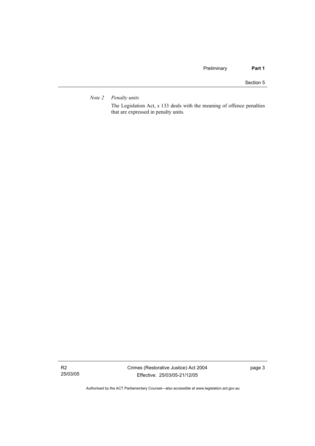*Note 2 Penalty units* 

The Legislation Act, s 133 deals with the meaning of offence penalties that are expressed in penalty units.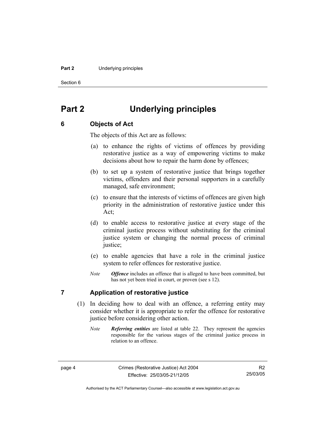#### **Part 2** Underlying principles

Section 6

# **Part 2 Underlying principles**

#### **6 Objects of Act**

The objects of this Act are as follows:

- (a) to enhance the rights of victims of offences by providing restorative justice as a way of empowering victims to make decisions about how to repair the harm done by offences;
- (b) to set up a system of restorative justice that brings together victims, offenders and their personal supporters in a carefully managed, safe environment;
- (c) to ensure that the interests of victims of offences are given high priority in the administration of restorative justice under this Act;
- (d) to enable access to restorative justice at every stage of the criminal justice process without substituting for the criminal justice system or changing the normal process of criminal justice;
- (e) to enable agencies that have a role in the criminal justice system to refer offences for restorative justice.
- *Note Offence* includes an offence that is alleged to have been committed, but has not yet been tried in court, or proven (see s 12).

# **7 Application of restorative justice**

- (1) In deciding how to deal with an offence, a referring entity may consider whether it is appropriate to refer the offence for restorative justice before considering other action.
	- *Note Referring entities* are listed at table 22. They represent the agencies responsible for the various stages of the criminal justice process in relation to an offence.

R2 25/03/05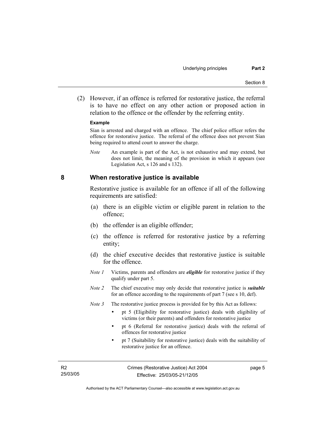(2) However, if an offence is referred for restorative justice, the referral is to have no effect on any other action or proposed action in relation to the offence or the offender by the referring entity.

#### **Example**

Sían is arrested and charged with an offence. The chief police officer refers the offence for restorative justice. The referral of the offence does not prevent Sían being required to attend court to answer the charge.

*Note* An example is part of the Act, is not exhaustive and may extend, but does not limit, the meaning of the provision in which it appears (see Legislation Act, s 126 and s 132).

### **8 When restorative justice is available**

Restorative justice is available for an offence if all of the following requirements are satisfied:

- (a) there is an eligible victim or eligible parent in relation to the offence;
- (b) the offender is an eligible offender;
- (c) the offence is referred for restorative justice by a referring entity;
- (d) the chief executive decides that restorative justice is suitable for the offence.
- *Note 1* Victims, parents and offenders are *eligible* for restorative justice if they qualify under part 5.
- *Note 2* The chief executive may only decide that restorative justice is *suitable*  for an offence according to the requirements of part 7 (see s 10, def).

*Note 3* The restorative justice process is provided for by this Act as follows:

- pt 5 (Eligibility for restorative justice) deals with eligibility of victims (or their parents) and offenders for restorative justice
- pt 6 (Referral for restorative justice) deals with the referral of offences for restorative justice
- pt 7 (Suitability for restorative justice) deals with the suitability of restorative justice for an offence.

| К2       |  |
|----------|--|
| 25/03/05 |  |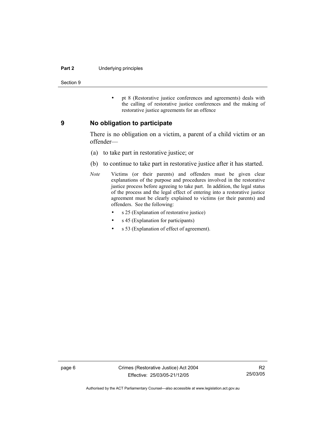#### **Part 2** Underlying principles

Section 9

• pt 8 (Restorative justice conferences and agreements) deals with the calling of restorative justice conferences and the making of restorative justice agreements for an offence

#### **9 No obligation to participate**

There is no obligation on a victim, a parent of a child victim or an offender—

- (a) to take part in restorative justice; or
- (b) to continue to take part in restorative justice after it has started.
- *Note* Victims (or their parents) and offenders must be given clear explanations of the purpose and procedures involved in the restorative justice process before agreeing to take part. In addition, the legal status of the process and the legal effect of entering into a restorative justice agreement must be clearly explained to victims (or their parents) and offenders. See the following:
	- s 25 (Explanation of restorative justice)
	- s 45 (Explanation for participants)
	- s 53 (Explanation of effect of agreement).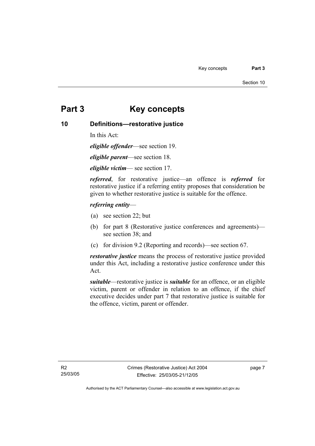# **Part 3 Key concepts**

# **10 Definitions—restorative justice**

In this Act:

*eligible offender*—see section 19.

*eligible parent*—see section 18.

*eligible victim*— see section 17.

*referred*, for restorative justice—an offence is *referred* for restorative justice if a referring entity proposes that consideration be given to whether restorative justice is suitable for the offence.

### *referring entity*—

- (a) see section 22; but
- (b) for part 8 (Restorative justice conferences and agreements) see section 38; and
- (c) for division 9.2 (Reporting and records)—see section 67.

*restorative justice* means the process of restorative justice provided under this Act, including a restorative justice conference under this Act.

*suitable*—restorative justice is *suitable* for an offence, or an eligible victim, parent or offender in relation to an offence, if the chief executive decides under part 7 that restorative justice is suitable for the offence, victim, parent or offender.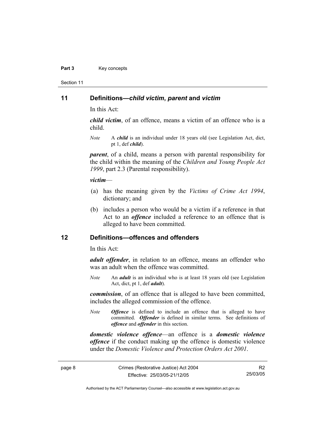#### Part 3 **Key concepts**

Section 11

#### **11 Definitions—***child victim***,** *parent* **and** *victim*

In this Act:

*child victim*, of an offence, means a victim of an offence who is a child.

*Note* A *child* is an individual under 18 years old (see Legislation Act, dict, pt 1, def *child*).

*parent*, of a child, means a person with parental responsibility for the child within the meaning of the *Children and Young People Act 1999*, part 2.3 (Parental responsibility).

#### *victim*—

- (a) has the meaning given by the *Victims of Crime Act 1994*, dictionary; and
- (b) includes a person who would be a victim if a reference in that Act to an *offence* included a reference to an offence that is alleged to have been committed.

#### **12 Definitions—offences and offenders**

In this Act:

*adult offender*, in relation to an offence, means an offender who was an adult when the offence was committed.

*Note* An *adult* is an individual who is at least 18 years old (see Legislation Act, dict, pt 1, def *adult*).

*commission*, of an offence that is alleged to have been committed, includes the alleged commission of the offence.

*Note Offence* is defined to include an offence that is alleged to have committed. *Offender* is defined in similar terms. See definitions of *offence* and *offender* in this section.

*domestic violence offence*—an offence is a *domestic violence offence* if the conduct making up the offence is domestic violence under the *Domestic Violence and Protection Orders Act 2001*.

R2 25/03/05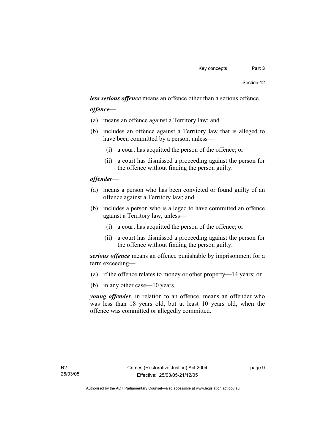*less serious offence* means an offence other than a serious offence.

*offence*—

- (a) means an offence against a Territory law; and
- (b) includes an offence against a Territory law that is alleged to have been committed by a person, unless—
	- (i) a court has acquitted the person of the offence; or
	- (ii) a court has dismissed a proceeding against the person for the offence without finding the person guilty.

## *offender*—

- (a) means a person who has been convicted or found guilty of an offence against a Territory law; and
- (b) includes a person who is alleged to have committed an offence against a Territory law, unless—
	- (i) a court has acquitted the person of the offence; or
	- (ii) a court has dismissed a proceeding against the person for the offence without finding the person guilty.

*serious offence* means an offence punishable by imprisonment for a term exceeding—

- (a) if the offence relates to money or other property—14 years; or
- (b) in any other case—10 years.

*young offender*, in relation to an offence, means an offender who was less than 18 years old, but at least 10 years old, when the offence was committed or allegedly committed.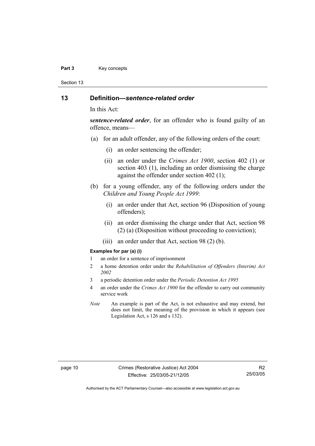#### Part 3 **Key concepts**

Section 13

### **13 Definition—***sentence-related order*

In this Act:

*sentence-related order*, for an offender who is found guilty of an offence, means—

- (a) for an adult offender, any of the following orders of the court:
	- (i) an order sentencing the offender;
	- (ii) an order under the *Crimes Act 1900*, section 402 (1) or section 403 (1), including an order dismissing the charge against the offender under section 402 (1);
- (b) for a young offender, any of the following orders under the *Children and Young People Act 1999*:
	- (i) an order under that Act, section 96 (Disposition of young offenders);
	- (ii) an order dismissing the charge under that Act, section 98 (2) (a) (Disposition without proceeding to conviction);
	- (iii) an order under that Act, section 98 (2) (b).

#### **Examples for par (a) (i)**

- 1 an order for a sentence of imprisonment
- 2 a home detention order under the *Rehabilitation of Offenders (Interim) Act 2002*
- 3 a periodic detention order under the *Periodic Detention Act 1995*
- 4 an order under the *Crimes Act 1900* for the offender to carry out community service work
- *Note* An example is part of the Act, is not exhaustive and may extend, but does not limit, the meaning of the provision in which it appears (see Legislation Act, s 126 and s 132).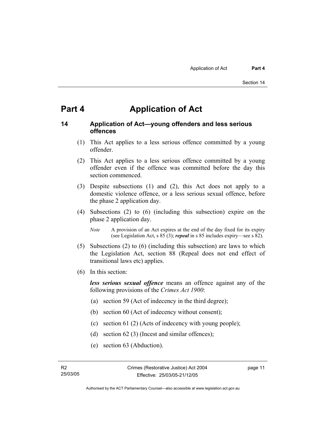# **Part 4 Application of Act**

## **14 Application of Act—young offenders and less serious offences**

- (1) This Act applies to a less serious offence committed by a young offender.
- (2) This Act applies to a less serious offence committed by a young offender even if the offence was committed before the day this section commenced.
- (3) Despite subsections (1) and (2), this Act does not apply to a domestic violence offence, or a less serious sexual offence, before the phase 2 application day.
- (4) Subsections (2) to (6) (including this subsection) expire on the phase 2 application day.

*Note* A provision of an Act expires at the end of the day fixed for its expiry (see Legislation Act, s 85 (3); *repeal* in s 85 includes expiry—see s 82).

- (5) Subsections (2) to (6) (including this subsection) are laws to which the Legislation Act, section 88 (Repeal does not end effect of transitional laws etc) applies.
- (6) In this section:

*less serious sexual offence* means an offence against any of the following provisions of the *Crimes Act 1900*:

- (a) section 59 (Act of indecency in the third degree);
- (b) section 60 (Act of indecency without consent);
- (c) section 61 (2) (Acts of indecency with young people);
- (d) section 62 (3) (Incest and similar offences);
- (e) section 63 (Abduction).

page 11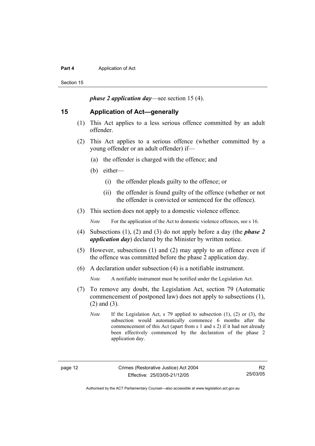#### **Part 4 Application of Act**

Section 15

*phase 2 application day*—see section 15 (4).

#### **15 Application of Act—generally**

- (1) This Act applies to a less serious offence committed by an adult offender.
- (2) This Act applies to a serious offence (whether committed by a young offender or an adult offender) if—
	- (a) the offender is charged with the offence; and
	- (b) either—
		- (i) the offender pleads guilty to the offence; or
		- (ii) the offender is found guilty of the offence (whether or not the offender is convicted or sentenced for the offence).
- (3) This section does not apply to a domestic violence offence.

*Note* For the application of the Act to domestic violence offences, see s 16.

- (4) Subsections (1), (2) and (3) do not apply before a day (the *phase 2 application day*) declared by the Minister by written notice.
- (5) However, subsections (1) and (2) may apply to an offence even if the offence was committed before the phase 2 application day.
- (6) A declaration under subsection (4) is a notifiable instrument.

*Note* A notifiable instrument must be notified under the Legislation Act.

- (7) To remove any doubt, the Legislation Act, section 79 (Automatic commencement of postponed law) does not apply to subsections (1), (2) and (3).
	- *Note* If the Legislation Act, s 79 applied to subsection (1), (2) or (3), the subsection would automatically commence 6 months after the commencement of this Act (apart from s 1 and s 2) if it had not already been effectively commenced by the declaration of the phase 2 application day.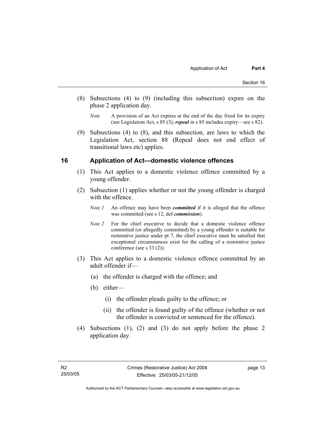- (8) Subsections (4) to (9) (including this subsection) expire on the phase 2 application day.
	- *Note* A provision of an Act expires at the end of the day fixed for its expiry (see Legislation Act, s 85 (3); *repeal* in s 85 includes expiry—see s 82).
- (9) Subsections (4) to (8), and this subsection, are laws to which the Legislation Act, section 88 (Repeal does not end effect of transitional laws etc) applies.

### **16 Application of Act—domestic violence offences**

- (1) This Act applies to a domestic violence offence committed by a young offender.
- (2) Subsection (1) applies whether or not the young offender is charged with the offence.
	- *Note 1* An offence may have been *committed* if it is alleged that the offence was committed (see s 12, def *commission*).
	- *Note 2* For the chief executive to decide that a domestic violence offence committed (or allegedly committed) by a young offender is suitable for restorative justice under pt 7, the chief executive must be satisfied that exceptional circumstances exist for the calling of a restorative justice conference (see s 33 (2)).
- (3) This Act applies to a domestic violence offence committed by an adult offender if—
	- (a) the offender is charged with the offence; and
	- (b) either—
		- (i) the offender pleads guilty to the offence; or
		- (ii) the offender is found guilty of the offence (whether or not the offender is convicted or sentenced for the offence).
- (4) Subsections (1), (2) and (3) do not apply before the phase 2 application day.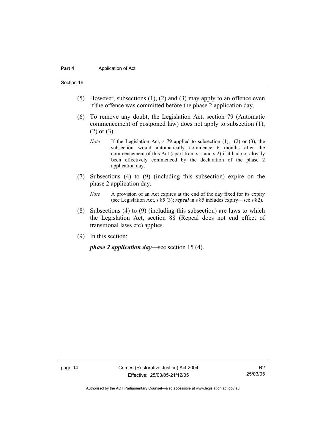#### **Part 4 Application of Act**

#### Section 16

- (5) However, subsections (1), (2) and (3) may apply to an offence even if the offence was committed before the phase 2 application day.
- (6) To remove any doubt, the Legislation Act, section 79 (Automatic commencement of postponed law) does not apply to subsection (1), (2) or (3).
	- *Note* If the Legislation Act, s 79 applied to subsection (1), (2) or (3), the subsection would automatically commence 6 months after the commencement of this Act (apart from s 1 and s 2) if it had not already been effectively commenced by the declaration of the phase 2 application day.
- (7) Subsections (4) to (9) (including this subsection) expire on the phase 2 application day.
	- *Note* A provision of an Act expires at the end of the day fixed for its expiry (see Legislation Act, s 85 (3); *repeal* in s 85 includes expiry—see s 82).
- (8) Subsections (4) to (9) (including this subsection) are laws to which the Legislation Act, section 88 (Repeal does not end effect of transitional laws etc) applies.
- (9) In this section:

*phase 2 application day*—see section 15 (4).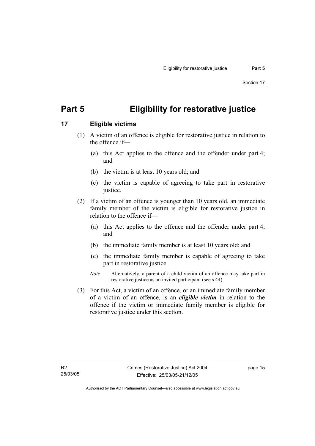# **Part 5 Eligibility for restorative justice**

# **17 Eligible victims**

- (1) A victim of an offence is eligible for restorative justice in relation to the offence if—
	- (a) this Act applies to the offence and the offender under part 4; and
	- (b) the victim is at least 10 years old; and
	- (c) the victim is capable of agreeing to take part in restorative justice.
- (2) If a victim of an offence is younger than 10 years old, an immediate family member of the victim is eligible for restorative justice in relation to the offence if—
	- (a) this Act applies to the offence and the offender under part 4; and
	- (b) the immediate family member is at least 10 years old; and
	- (c) the immediate family member is capable of agreeing to take part in restorative justice.
	- *Note* Alternatively, a parent of a child victim of an offence may take part in restorative justice as an invited participant (see s 44).
- (3) For this Act, a victim of an offence, or an immediate family member of a victim of an offence, is an *eligible victim* in relation to the offence if the victim or immediate family member is eligible for restorative justice under this section.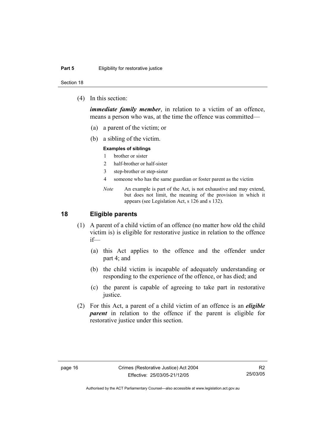#### **Part 5 Eligibility for restorative justice**

Section 18

(4) In this section:

*immediate family member*, in relation to a victim of an offence, means a person who was, at the time the offence was committed—

- (a) a parent of the victim; or
- (b) a sibling of the victim.

#### **Examples of siblings**

- 1 brother or sister
- 2 half-brother or half-sister
- 3 step-brother or step-sister
- 4 someone who has the same guardian or foster parent as the victim
- *Note* An example is part of the Act, is not exhaustive and may extend, but does not limit, the meaning of the provision in which it appears (see Legislation Act, s 126 and s 132).

## **18 Eligible parents**

- (1) A parent of a child victim of an offence (no matter how old the child victim is) is eligible for restorative justice in relation to the offence if—
	- (a) this Act applies to the offence and the offender under part 4; and
	- (b) the child victim is incapable of adequately understanding or responding to the experience of the offence, or has died; and
	- (c) the parent is capable of agreeing to take part in restorative justice.
- (2) For this Act, a parent of a child victim of an offence is an *eligible parent* in relation to the offence if the parent is eligible for restorative justice under this section.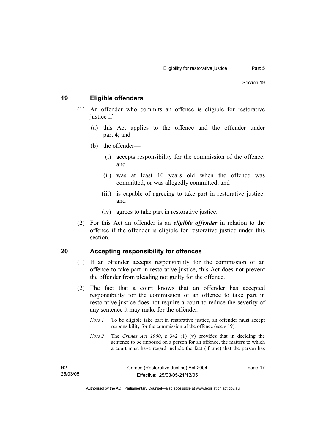## **19 Eligible offenders**

- (1) An offender who commits an offence is eligible for restorative justice if—
	- (a) this Act applies to the offence and the offender under part 4; and
	- (b) the offender—
		- (i) accepts responsibility for the commission of the offence; and
		- (ii) was at least 10 years old when the offence was committed, or was allegedly committed; and
		- (iii) is capable of agreeing to take part in restorative justice; and
		- (iv) agrees to take part in restorative justice.
- (2) For this Act an offender is an *eligible offender* in relation to the offence if the offender is eligible for restorative justice under this section.

### **20 Accepting responsibility for offences**

- (1) If an offender accepts responsibility for the commission of an offence to take part in restorative justice, this Act does not prevent the offender from pleading not guilty for the offence.
- (2) The fact that a court knows that an offender has accepted responsibility for the commission of an offence to take part in restorative justice does not require a court to reduce the severity of any sentence it may make for the offender.
	- *Note 1* To be eligible take part in restorative justice, an offender must accept responsibility for the commission of the offence (see s 19).
	- *Note 2* The *Crimes Act 1900*, s 342 (1) (v) provides that in deciding the sentence to be imposed on a person for an offence, the matters to which a court must have regard include the fact (if true) that the person has

| R2       |
|----------|
| 25/03/05 |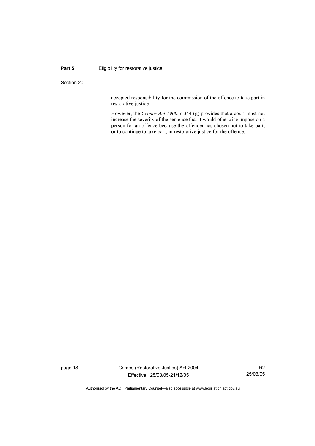#### **Part 5 Eligibility for restorative justice**

#### Section 20

accepted responsibility for the commission of the offence to take part in restorative justice.

However, the *Crimes Act 1900*, s 344 (g) provides that a court must not increase the severity of the sentence that it would otherwise impose on a person for an offence because the offender has chosen not to take part, or to continue to take part, in restorative justice for the offence.

page 18 Crimes (Restorative Justice) Act 2004 Effective: 25/03/05-21/12/05

R2 25/03/05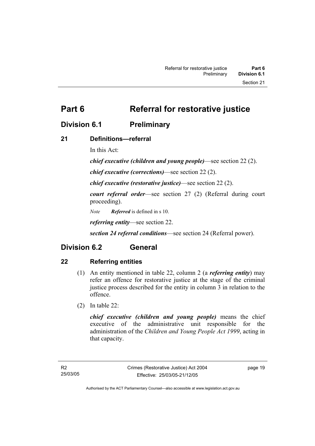**Part 6** Referral for restorative justice

# **Division 6.1 Preliminary**

# **21 Definitions—referral**

In this Act:

*chief executive (children and young people)*—see section 22 (2).

*chief executive (corrections)*—see section 22 (2).

*chief executive (restorative justice)*—see section 22 (2).

*court referral order*—see section 27 (2) (Referral during court proceeding).

*Note Referred* is defined in s 10.

*referring entity*—see section 22.

*section 24 referral conditions*—see section 24 (Referral power).

# **Division 6.2 General**

# **22 Referring entities**

- (1) An entity mentioned in table 22, column 2 (a *referring entity*) may refer an offence for restorative justice at the stage of the criminal justice process described for the entity in column 3 in relation to the offence.
- (2) In table 22:

*chief executive (children and young people)* means the chief executive of the administrative unit responsible for the administration of the *Children and Young People Act 1999*, acting in that capacity.

page 19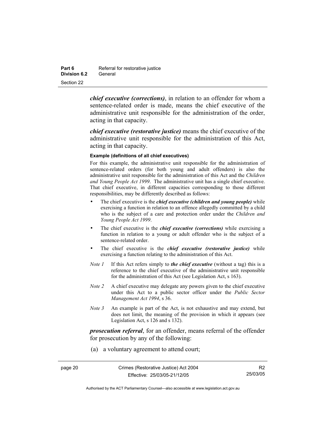**Part 6 Referral for restorative justice Division 6.2** General Section 22

> *chief executive (corrections)*, in relation to an offender for whom a sentence-related order is made, means the chief executive of the administrative unit responsible for the administration of the order, acting in that capacity.

> *chief executive (restorative justice)* means the chief executive of the administrative unit responsible for the administration of this Act, acting in that capacity.

#### **Example (definitions of all chief executives)**

For this example, the administrative unit responsible for the administration of sentence-related orders (for both young and adult offenders) is also the administrative unit responsible for the administration of this Act and the *Children and Young People Act 1999*. The administrative unit has a single chief executive. That chief executive, in different capacities corresponding to those different responsibilities, may be differently described as follows:

- The chief executive is the *chief executive (children and young people)* while exercising a function in relation to an offence allegedly committed by a child who is the subject of a care and protection order under the *Children and Young People Act 1999*.
- The chief executive is the *chief executive (corrections)* while exercising a function in relation to a young or adult offender who is the subject of a sentence-related order.
- The chief executive is the *chief executive (restorative justice)* while exercising a function relating to the administration of this Act.
- *Note 1* If this Act refers simply to *the chief executive* (without a tag) this is a reference to the chief executive of the administrative unit responsible for the administration of this Act (see Legislation Act, s 163).
- *Note 2* A chief executive may delegate any powers given to the chief executive under this Act to a public sector officer under the *Public Sector Management Act 1994*, s 36.
- *Note 3* An example is part of the Act, is not exhaustive and may extend, but does not limit, the meaning of the provision in which it appears (see Legislation Act, s 126 and s 132).

*prosecution referral*, for an offender, means referral of the offender for prosecution by any of the following:

(a) a voluntary agreement to attend court;

R2 25/03/05

Authorised by the ACT Parliamentary Counsel—also accessible at www.legislation.act.gov.au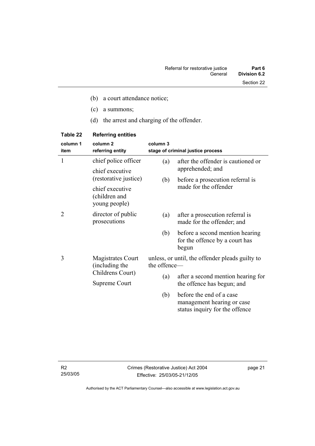- (b) a court attendance notice;
- (c) a summons;
- (d) the arrest and charging of the offender.

| column 1<br>item | column <sub>2</sub><br>referring entity                                                       | column 3                                                        | stage of criminal justice process                                                        |
|------------------|-----------------------------------------------------------------------------------------------|-----------------------------------------------------------------|------------------------------------------------------------------------------------------|
| $\mathbf{1}$     | chief police officer                                                                          | (a)                                                             | after the offender is cautioned or                                                       |
|                  | chief executive<br>(restorative justice)<br>chief executive<br>(children and<br>young people) | (b)                                                             | apprehended; and<br>before a prosecution referral is<br>made for the offender            |
|                  |                                                                                               |                                                                 |                                                                                          |
| 2                | director of public<br>prosecutions                                                            | (a)                                                             | after a prosecution referral is<br>made for the offender; and                            |
|                  |                                                                                               | (b)                                                             | before a second mention hearing<br>for the offence by a court has<br>begun               |
| 3                | Magistrates Court<br>(including the                                                           | unless, or until, the offender pleads guilty to<br>the offence- |                                                                                          |
|                  | Childrens Court)<br>Supreme Court                                                             | (a)                                                             | after a second mention hearing for<br>the offence has begun; and                         |
|                  |                                                                                               | (b)                                                             | before the end of a case<br>management hearing or case<br>status inquiry for the offence |

# **Table 22 Referring entities**

R2 25/03/05 page 21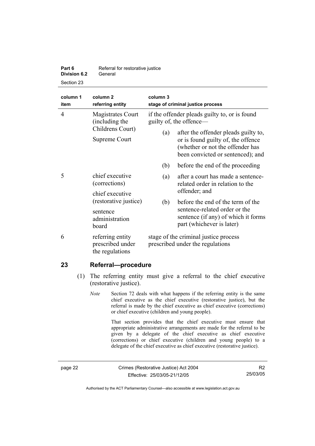| Part 6              | Referral for restorative justice |
|---------------------|----------------------------------|
| <b>Division 6.2</b> | General                          |
| Section 23          |                                  |

| column 1<br>item | column <sub>2</sub><br>referring entity                                                                                                                                                                                                                                                                                                                                                                                                                                                                                                                                                                                                                        | column 3<br>stage of criminal justice process                             |                                                                                                                                                         |
|------------------|----------------------------------------------------------------------------------------------------------------------------------------------------------------------------------------------------------------------------------------------------------------------------------------------------------------------------------------------------------------------------------------------------------------------------------------------------------------------------------------------------------------------------------------------------------------------------------------------------------------------------------------------------------------|---------------------------------------------------------------------------|---------------------------------------------------------------------------------------------------------------------------------------------------------|
| $\overline{4}$   | <b>Magistrates Court</b><br>(including the                                                                                                                                                                                                                                                                                                                                                                                                                                                                                                                                                                                                                     | if the offender pleads guilty to, or is found<br>guilty of, the offence—  |                                                                                                                                                         |
|                  | Childrens Court)<br>Supreme Court                                                                                                                                                                                                                                                                                                                                                                                                                                                                                                                                                                                                                              | (a)                                                                       | after the offender pleads guilty to,<br>or is found guilty of, the offence<br>(whether or not the offender has<br>been convicted or sentenced); and     |
|                  |                                                                                                                                                                                                                                                                                                                                                                                                                                                                                                                                                                                                                                                                | (b)                                                                       | before the end of the proceeding                                                                                                                        |
| 5                | chief executive<br>(corrections)                                                                                                                                                                                                                                                                                                                                                                                                                                                                                                                                                                                                                               | (a)                                                                       | after a court has made a sentence-<br>related order in relation to the                                                                                  |
|                  | chief executive<br>(restorative justice)                                                                                                                                                                                                                                                                                                                                                                                                                                                                                                                                                                                                                       | (b)                                                                       | offender; and<br>before the end of the term of the<br>sentence-related order or the<br>sentence (if any) of which it forms<br>part (whichever is later) |
|                  | sentence<br>administration<br>board                                                                                                                                                                                                                                                                                                                                                                                                                                                                                                                                                                                                                            |                                                                           |                                                                                                                                                         |
| 6                | referring entity<br>prescribed under<br>the regulations                                                                                                                                                                                                                                                                                                                                                                                                                                                                                                                                                                                                        | stage of the criminal justice process<br>prescribed under the regulations |                                                                                                                                                         |
| 23               | Referral-procedure                                                                                                                                                                                                                                                                                                                                                                                                                                                                                                                                                                                                                                             |                                                                           |                                                                                                                                                         |
| (1)              | The referring entity must give a referral to the chief executive<br>(restorative justice).                                                                                                                                                                                                                                                                                                                                                                                                                                                                                                                                                                     |                                                                           |                                                                                                                                                         |
|                  | <b>Note</b><br>Section 72 deals with what happens if the referring entity is the same<br>chief executive as the chief executive (restorative justice), but the<br>referral is made by the chief executive as chief executive (corrections)<br>or chief executive (children and young people).<br>That section provides that the chief executive must ensure that<br>appropriate administrative arrangements are made for the referral to be<br>given by a delegate of the chief executive as chief executive<br>(corrections) or chief executive (children and young people) to a<br>delegate of the chief executive as chief executive (restorative justice). |                                                                           |                                                                                                                                                         |
|                  |                                                                                                                                                                                                                                                                                                                                                                                                                                                                                                                                                                                                                                                                |                                                                           |                                                                                                                                                         |

page 22 Crimes (Restorative Justice) Act 2004 Effective: 25/03/05-21/12/05

R2 25/03/05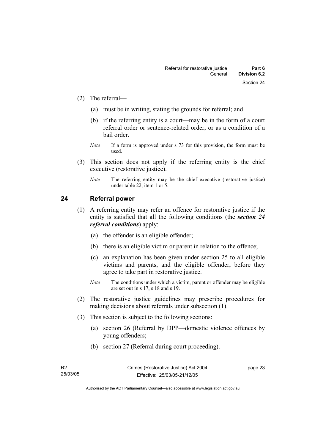- (2) The referral—
	- (a) must be in writing, stating the grounds for referral; and
	- (b) if the referring entity is a court—may be in the form of a court referral order or sentence-related order, or as a condition of a bail order.
	- *Note* If a form is approved under s 73 for this provision, the form must be used.
- (3) This section does not apply if the referring entity is the chief executive (restorative justice).
	- *Note* The referring entity may be the chief executive (restorative justice) under table 22, item 1 or 5.

## **24 Referral power**

- (1) A referring entity may refer an offence for restorative justice if the entity is satisfied that all the following conditions (the *section 24 referral conditions*) apply:
	- (a) the offender is an eligible offender;
	- (b) there is an eligible victim or parent in relation to the offence;
	- (c) an explanation has been given under section 25 to all eligible victims and parents, and the eligible offender, before they agree to take part in restorative justice.
	- *Note* The conditions under which a victim, parent or offender may be eligible are set out in s 17, s 18 and s 19.
- (2) The restorative justice guidelines may prescribe procedures for making decisions about referrals under subsection (1).
- (3) This section is subject to the following sections:
	- (a) section 26 (Referral by DPP—domestic violence offences by young offenders;
	- (b) section 27 (Referral during court proceeding).

page 23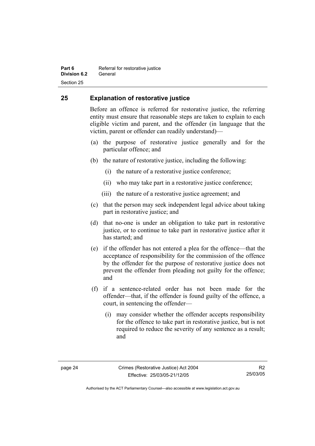# **25 Explanation of restorative justice**

Before an offence is referred for restorative justice, the referring entity must ensure that reasonable steps are taken to explain to each eligible victim and parent, and the offender (in language that the victim, parent or offender can readily understand)—

- (a) the purpose of restorative justice generally and for the particular offence; and
- (b) the nature of restorative justice, including the following:
	- (i) the nature of a restorative justice conference;
	- (ii) who may take part in a restorative justice conference;
	- (iii) the nature of a restorative justice agreement; and
- (c) that the person may seek independent legal advice about taking part in restorative justice; and
- (d) that no-one is under an obligation to take part in restorative justice, or to continue to take part in restorative justice after it has started; and
- (e) if the offender has not entered a plea for the offence—that the acceptance of responsibility for the commission of the offence by the offender for the purpose of restorative justice does not prevent the offender from pleading not guilty for the offence; and
- (f) if a sentence-related order has not been made for the offender—that, if the offender is found guilty of the offence, a court, in sentencing the offender—
	- (i) may consider whether the offender accepts responsibility for the offence to take part in restorative justice, but is not required to reduce the severity of any sentence as a result; and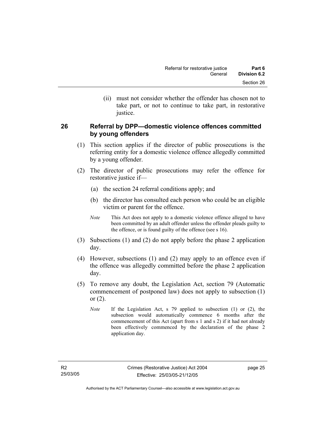(ii) must not consider whether the offender has chosen not to take part, or not to continue to take part, in restorative justice.

# **26 Referral by DPP—domestic violence offences committed by young offenders**

- (1) This section applies if the director of public prosecutions is the referring entity for a domestic violence offence allegedly committed by a young offender.
- (2) The director of public prosecutions may refer the offence for restorative justice if—
	- (a) the section 24 referral conditions apply; and
	- (b) the director has consulted each person who could be an eligible victim or parent for the offence.
	- *Note* This Act does not apply to a domestic violence offence alleged to have been committed by an adult offender unless the offender pleads guilty to the offence, or is found guilty of the offence (see s 16).
- (3) Subsections (1) and (2) do not apply before the phase 2 application day.
- (4) However, subsections (1) and (2) may apply to an offence even if the offence was allegedly committed before the phase 2 application day.
- (5) To remove any doubt, the Legislation Act, section 79 (Automatic commencement of postponed law) does not apply to subsection (1) or (2).
	- *Note* If the Legislation Act, s 79 applied to subsection (1) or (2), the subsection would automatically commence 6 months after the commencement of this Act (apart from s 1 and s 2) if it had not already been effectively commenced by the declaration of the phase 2 application day.

page 25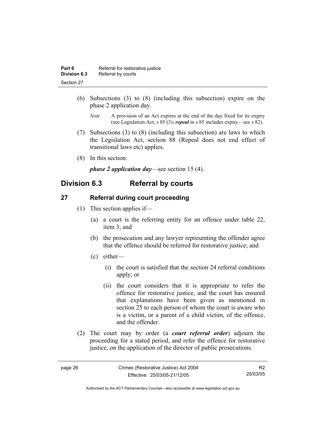| Part 6              | Referral for restorative justice |
|---------------------|----------------------------------|
| <b>Division 6.3</b> | Referral by courts               |
| Section 27          |                                  |

- (6) Subsections (3) to (8) (including this subsection) expire on the phase 2 application day.
	- *Note* A provision of an Act expires at the end of the day fixed for its expiry (see Legislation Act, s 85 (3); *repeal* in s 85 includes expiry—see s 82).
- (7) Subsections (3) to (8) (including this subsection) are laws to which the Legislation Act, section 88 (Repeal does not end effect of transitional laws etc) applies.
- (8) In this section:

*phase 2 application day*—see section 15 (4).

# **Division 6.3 Referral by courts**

# **27 Referral during court proceeding**

- (1) This section applies if—
	- (a) a court is the referring entity for an offence under table 22, item 3; and
	- (b) the prosecution and any lawyer representing the offender agree that the offence should be referred for restorative justice; and
	- (c) either—
		- (i) the court is satisfied that the section 24 referral conditions apply; or
		- (ii) the court considers that it is appropriate to refer the offence for restorative justice, and the court has ensured that explanations have been given as mentioned in section 25 to each person of whom the court is aware who is a victim, or a parent of a child victim, of the offence, and the offender.
- (2) The court may by order (a *court referral order*) adjourn the proceeding for a stated period, and refer the offence for restorative justice, on the application of the director of public prosecutions.

R2 25/03/05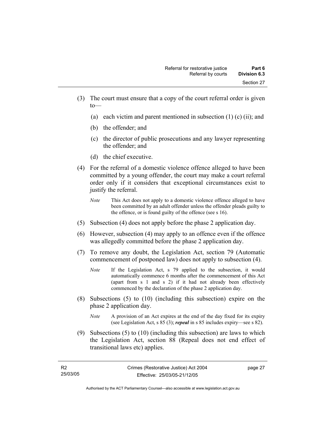- (3) The court must ensure that a copy of the court referral order is given to—
	- (a) each victim and parent mentioned in subsection  $(1)$  (c) (ii); and
	- (b) the offender; and
	- (c) the director of public prosecutions and any lawyer representing the offender; and
	- (d) the chief executive.
- (4) For the referral of a domestic violence offence alleged to have been committed by a young offender, the court may make a court referral order only if it considers that exceptional circumstances exist to justify the referral.
	- *Note* This Act does not apply to a domestic violence offence alleged to have been committed by an adult offender unless the offender pleads guilty to the offence, or is found guilty of the offence (see s 16).
- (5) Subsection (4) does not apply before the phase 2 application day.
- (6) However, subsection (4) may apply to an offence even if the offence was allegedly committed before the phase 2 application day.
- (7) To remove any doubt, the Legislation Act, section 79 (Automatic commencement of postponed law) does not apply to subsection (4).
	- *Note* If the Legislation Act, s 79 applied to the subsection, it would automatically commence 6 months after the commencement of this Act (apart from s 1 and s 2) if it had not already been effectively commenced by the declaration of the phase 2 application day.
- (8) Subsections (5) to (10) (including this subsection) expire on the phase 2 application day.
	- *Note* A provision of an Act expires at the end of the day fixed for its expiry (see Legislation Act, s 85 (3); *repeal* in s 85 includes expiry—see s 82).
- (9) Subsections (5) to (10) (including this subsection) are laws to which the Legislation Act, section 88 (Repeal does not end effect of transitional laws etc) applies.

page 27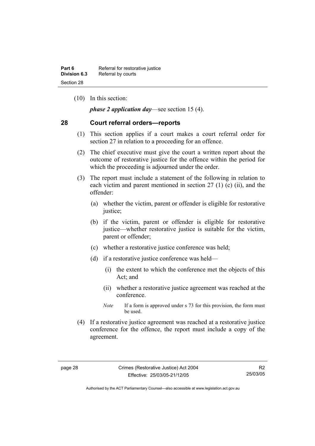(10) In this section:

*phase 2 application day*—see section 15 (4).

# **28 Court referral orders—reports**

- (1) This section applies if a court makes a court referral order for section 27 in relation to a proceeding for an offence.
- (2) The chief executive must give the court a written report about the outcome of restorative justice for the offence within the period for which the proceeding is adjourned under the order.
- (3) The report must include a statement of the following in relation to each victim and parent mentioned in section 27 (1) (c) (ii), and the offender:
	- (a) whether the victim, parent or offender is eligible for restorative justice;
	- (b) if the victim, parent or offender is eligible for restorative justice—whether restorative justice is suitable for the victim. parent or offender;
	- (c) whether a restorative justice conference was held;
	- (d) if a restorative justice conference was held—
		- (i) the extent to which the conference met the objects of this Act; and
		- (ii) whether a restorative justice agreement was reached at the conference.
		- *Note* If a form is approved under s 73 for this provision, the form must be used.
- (4) If a restorative justice agreement was reached at a restorative justice conference for the offence, the report must include a copy of the agreement.

R2 25/03/05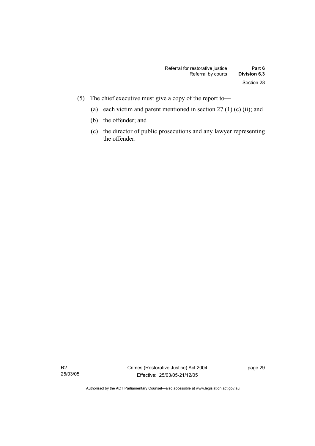- (5) The chief executive must give a copy of the report to—
	- (a) each victim and parent mentioned in section  $27(1)$  (c) (ii); and
	- (b) the offender; and
	- (c) the director of public prosecutions and any lawyer representing the offender.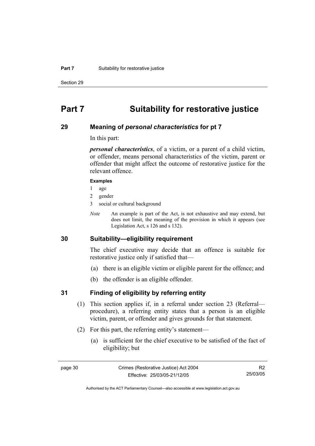#### **Part 7** Suitability for restorative justice

Section 29

# **Part 7 Suitability for restorative justice**

#### **29 Meaning of** *personal characteristics* **for pt 7**

In this part:

*personal characteristics*, of a victim, or a parent of a child victim, or offender, means personal characteristics of the victim, parent or offender that might affect the outcome of restorative justice for the relevant offence.

#### **Examples**

- 1 age
- 2 gender
- 3 social or cultural background
- *Note* An example is part of the Act, is not exhaustive and may extend, but does not limit, the meaning of the provision in which it appears (see Legislation Act, s 126 and s 132).

#### **30 Suitability—eligibility requirement**

The chief executive may decide that an offence is suitable for restorative justice only if satisfied that—

- (a) there is an eligible victim or eligible parent for the offence; and
- (b) the offender is an eligible offender.

#### **31 Finding of eligibility by referring entity**

- (1) This section applies if, in a referral under section 23 (Referral procedure), a referring entity states that a person is an eligible victim, parent, or offender and gives grounds for that statement.
- (2) For this part, the referring entity's statement—
	- (a) is sufficient for the chief executive to be satisfied of the fact of eligibility; but

R2 25/03/05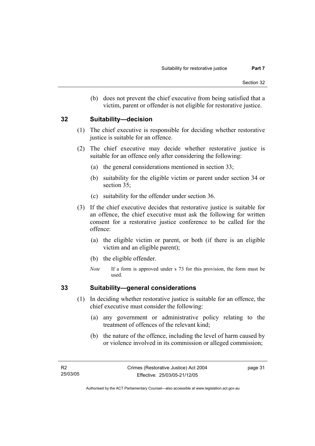(b) does not prevent the chief executive from being satisfied that a victim, parent or offender is not eligible for restorative justice.

### **32 Suitability—decision**

- (1) The chief executive is responsible for deciding whether restorative justice is suitable for an offence.
- (2) The chief executive may decide whether restorative justice is suitable for an offence only after considering the following:
	- (a) the general considerations mentioned in section 33;
	- (b) suitability for the eligible victim or parent under section 34 or section 35;
	- (c) suitability for the offender under section 36.
- (3) If the chief executive decides that restorative justice is suitable for an offence, the chief executive must ask the following for written consent for a restorative justice conference to be called for the offence:
	- (a) the eligible victim or parent, or both (if there is an eligible victim and an eligible parent);
	- (b) the eligible offender.
	- *Note* If a form is approved under s 73 for this provision, the form must be used.

#### **33 Suitability—general considerations**

- (1) In deciding whether restorative justice is suitable for an offence, the chief executive must consider the following:
	- (a) any government or administrative policy relating to the treatment of offences of the relevant kind;
	- (b) the nature of the offence, including the level of harm caused by or violence involved in its commission or alleged commission;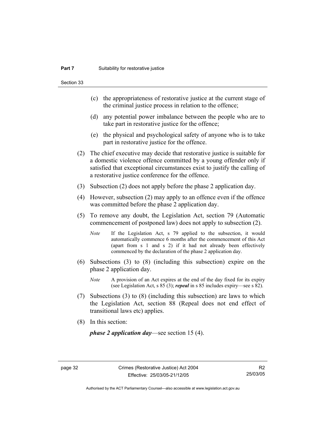Section 33

- (c) the appropriateness of restorative justice at the current stage of the criminal justice process in relation to the offence;
- (d) any potential power imbalance between the people who are to take part in restorative justice for the offence;
- (e) the physical and psychological safety of anyone who is to take part in restorative justice for the offence.
- (2) The chief executive may decide that restorative justice is suitable for a domestic violence offence committed by a young offender only if satisfied that exceptional circumstances exist to justify the calling of a restorative justice conference for the offence.
- (3) Subsection (2) does not apply before the phase 2 application day.
- (4) However, subsection (2) may apply to an offence even if the offence was committed before the phase 2 application day.
- (5) To remove any doubt, the Legislation Act, section 79 (Automatic commencement of postponed law) does not apply to subsection (2).
	- *Note* If the Legislation Act, s 79 applied to the subsection, it would automatically commence 6 months after the commencement of this Act (apart from s 1 and s 2) if it had not already been effectively commenced by the declaration of the phase 2 application day.
- (6) Subsections (3) to (8) (including this subsection) expire on the phase 2 application day.
	- *Note* A provision of an Act expires at the end of the day fixed for its expiry (see Legislation Act, s 85 (3); *repeal* in s 85 includes expiry—see s 82).
- (7) Subsections (3) to (8) (including this subsection) are laws to which the Legislation Act, section 88 (Repeal does not end effect of transitional laws etc) applies.
- (8) In this section:

*phase 2 application day*—see section 15 (4).

R2 25/03/05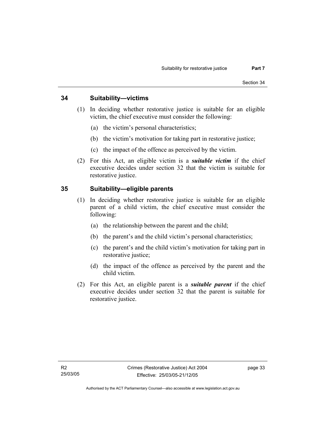#### **34 Suitability—victims**

- (1) In deciding whether restorative justice is suitable for an eligible victim, the chief executive must consider the following:
	- (a) the victim's personal characteristics;
	- (b) the victim's motivation for taking part in restorative justice;
	- (c) the impact of the offence as perceived by the victim.
- (2) For this Act, an eligible victim is a *suitable victim* if the chief executive decides under section 32 that the victim is suitable for restorative justice.

### **35 Suitability—eligible parents**

- (1) In deciding whether restorative justice is suitable for an eligible parent of a child victim, the chief executive must consider the following:
	- (a) the relationship between the parent and the child;
	- (b) the parent's and the child victim's personal characteristics;
	- (c) the parent's and the child victim's motivation for taking part in restorative justice;
	- (d) the impact of the offence as perceived by the parent and the child victim.
- (2) For this Act, an eligible parent is a *suitable parent* if the chief executive decides under section 32 that the parent is suitable for restorative justice.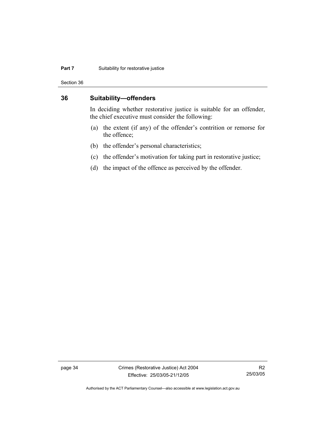#### **Part 7** Suitability for restorative justice

Section 36

#### **36 Suitability—offenders**

In deciding whether restorative justice is suitable for an offender, the chief executive must consider the following:

- (a) the extent (if any) of the offender's contrition or remorse for the offence;
- (b) the offender's personal characteristics;
- (c) the offender's motivation for taking part in restorative justice;
- (d) the impact of the offence as perceived by the offender.

page 34 Crimes (Restorative Justice) Act 2004 Effective: 25/03/05-21/12/05

R2 25/03/05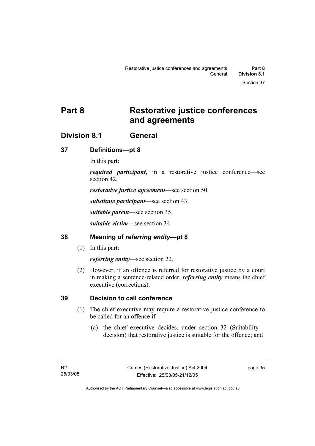# **Part 8 Restorative justice conferences and agreements**

## **Division 8.1 General**

### **37 Definitions—pt 8**

In this part:

*required participant*, in a restorative justice conference—see section 42.

*restorative justice agreement*—see section 50.

*substitute participant*—see section 43.

*suitable parent*—see section 35.

*suitable victim*—see section 34.

## **38 Meaning of** *referring entity***—pt 8**

(1) In this part:

*referring entity*—see section 22.

 (2) However, if an offence is referred for restorative justice by a court in making a sentence-related order, *referring entity* means the chief executive (corrections).

#### **39 Decision to call conference**

- (1) The chief executive may require a restorative justice conference to be called for an offence if—
	- (a) the chief executive decides, under section 32 (Suitability decision) that restorative justice is suitable for the offence; and

page 35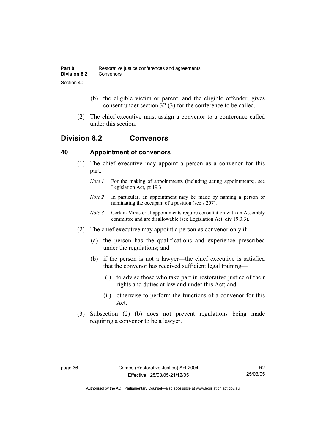- (b) the eligible victim or parent, and the eligible offender, gives consent under section 32 (3) for the conference to be called.
- (2) The chief executive must assign a convenor to a conference called under this section.

## **Division 8.2 Convenors**

### **40 Appointment of convenors**

- (1) The chief executive may appoint a person as a convenor for this part.
	- *Note 1* For the making of appointments (including acting appointments), see Legislation Act, pt 19.3.
	- *Note 2* In particular, an appointment may be made by naming a person or nominating the occupant of a position (see s 207).
	- *Note 3* Certain Ministerial appointments require consultation with an Assembly committee and are disallowable (see Legislation Act, div 19.3.3).
- (2) The chief executive may appoint a person as convenor only if—
	- (a) the person has the qualifications and experience prescribed under the regulations; and
	- (b) if the person is not a lawyer—the chief executive is satisfied that the convenor has received sufficient legal training—
		- (i) to advise those who take part in restorative justice of their rights and duties at law and under this Act; and
		- (ii) otherwise to perform the functions of a convenor for this Act.
- (3) Subsection (2) (b) does not prevent regulations being made requiring a convenor to be a lawyer.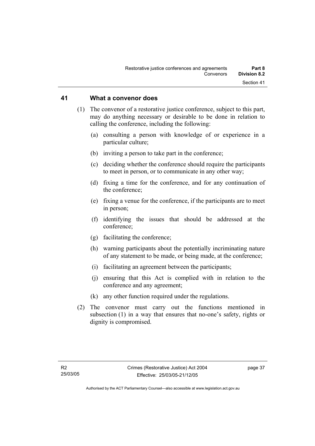#### **41 What a convenor does**

- (1) The convenor of a restorative justice conference, subject to this part, may do anything necessary or desirable to be done in relation to calling the conference, including the following:
	- (a) consulting a person with knowledge of or experience in a particular culture;
	- (b) inviting a person to take part in the conference;
	- (c) deciding whether the conference should require the participants to meet in person, or to communicate in any other way;
	- (d) fixing a time for the conference, and for any continuation of the conference;
	- (e) fixing a venue for the conference, if the participants are to meet in person;
	- (f) identifying the issues that should be addressed at the conference;
	- (g) facilitating the conference;
	- (h) warning participants about the potentially incriminating nature of any statement to be made, or being made, at the conference;
	- (i) facilitating an agreement between the participants;
	- (j) ensuring that this Act is complied with in relation to the conference and any agreement;
	- (k) any other function required under the regulations.
- (2) The convenor must carry out the functions mentioned in subsection (1) in a way that ensures that no-one's safety, rights or dignity is compromised.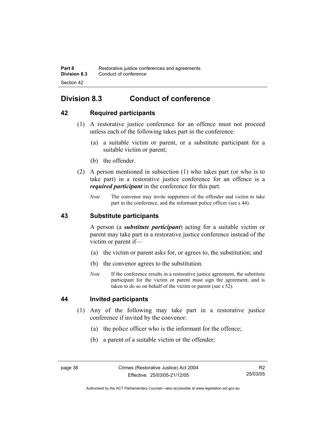# **Division 8.3 Conduct of conference**

## **42 Required participants**

- (1) A restorative justice conference for an offence must not proceed unless each of the following takes part in the conference:
	- (a) a suitable victim or parent, or a substitute participant for a suitable victim or parent;
	- (b) the offender.
- (2) A person mentioned in subsection (1) who takes part (or who is to take part) in a restorative justice conference for an offence is a *required participant* in the conference for this part.
	- *Note* The convenor may invite supporters of the offender and victim to take part in the conference, and the informant police officer (see s 44).

#### **43 Substitute participants**

A person (a *substitute participant*) acting for a suitable victim or parent may take part in a restorative justice conference instead of the victim or parent if—

- (a) the victim or parent asks for, or agrees to, the substitution; and
- (b) the convenor agrees to the substitution.
- *Note* If the conference results in a restorative justice agreement, the substitute participant for the victim or parent must sign the agreement, and is taken to do so on behalf of the victim or parent (see s 52).

#### **44 Invited participants**

- (1) Any of the following may take part in a restorative justice conference if invited by the convenor:
	- (a) the police officer who is the informant for the offence;
	- (b) a parent of a suitable victim or the offender;

R2 25/03/05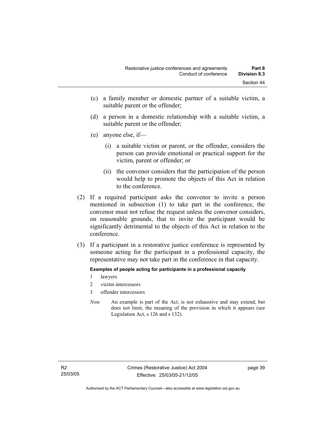- (c) a family member or domestic partner of a suitable victim, a suitable parent or the offender;
- (d) a person in a domestic relationship with a suitable victim, a suitable parent or the offender;
- (e) anyone else, if—
	- (i) a suitable victim or parent, or the offender, considers the person can provide emotional or practical support for the victim, parent or offender; or
	- (ii) the convenor considers that the participation of the person would help to promote the objects of this Act in relation to the conference.
- (2) If a required participant asks the convenor to invite a person mentioned in subsection (1) to take part in the conference, the convenor must not refuse the request unless the convenor considers, on reasonable grounds, that to invite the participant would be significantly detrimental to the objects of this Act in relation to the conference.
- (3) If a participant in a restorative justice conference is represented by someone acting for the participant in a professional capacity, the representative may not take part in the conference in that capacity.

**Examples of people acting for participants in a professional capacity** 

- 1 lawyers
- 2 victim intercessors
- 3 offender intercessors
- *Note* An example is part of the Act, is not exhaustive and may extend, but does not limit, the meaning of the provision in which it appears (see Legislation Act, s 126 and s 132).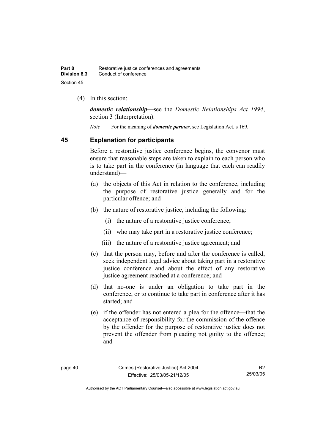(4) In this section:

*domestic relationship*—see the *Domestic Relationships Act 1994*, section 3 (Interpretation).

*Note* For the meaning of *domestic partner*, see Legislation Act, s 169.

#### **45 Explanation for participants**

Before a restorative justice conference begins, the convenor must ensure that reasonable steps are taken to explain to each person who is to take part in the conference (in language that each can readily understand)—

- (a) the objects of this Act in relation to the conference, including the purpose of restorative justice generally and for the particular offence; and
- (b) the nature of restorative justice, including the following:
	- (i) the nature of a restorative justice conference;
	- (ii) who may take part in a restorative justice conference;
	- (iii) the nature of a restorative justice agreement; and
- (c) that the person may, before and after the conference is called, seek independent legal advice about taking part in a restorative justice conference and about the effect of any restorative justice agreement reached at a conference; and
- (d) that no-one is under an obligation to take part in the conference, or to continue to take part in conference after it has started; and
- (e) if the offender has not entered a plea for the offence—that the acceptance of responsibility for the commission of the offence by the offender for the purpose of restorative justice does not prevent the offender from pleading not guilty to the offence; and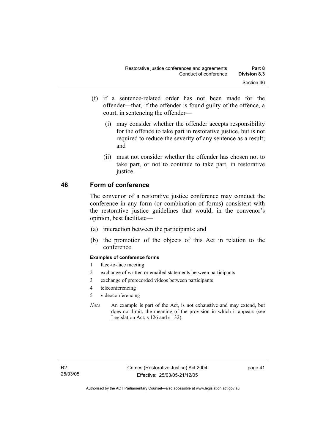- (f) if a sentence-related order has not been made for the offender—that, if the offender is found guilty of the offence, a court, in sentencing the offender—
	- (i) may consider whether the offender accepts responsibility for the offence to take part in restorative justice, but is not required to reduce the severity of any sentence as a result; and
	- (ii) must not consider whether the offender has chosen not to take part, or not to continue to take part, in restorative justice.

### **46 Form of conference**

The convenor of a restorative justice conference may conduct the conference in any form (or combination of forms) consistent with the restorative justice guidelines that would, in the convenor's opinion, best facilitate—

- (a) interaction between the participants; and
- (b) the promotion of the objects of this Act in relation to the conference.

#### **Examples of conference forms**

- 1 face-to-face meeting
- 2 exchange of written or emailed statements between participants
- 3 exchange of prerecorded videos between participants
- 4 teleconferencing
- 5 videoconferencing
- *Note* An example is part of the Act, is not exhaustive and may extend, but does not limit, the meaning of the provision in which it appears (see Legislation Act, s 126 and s 132).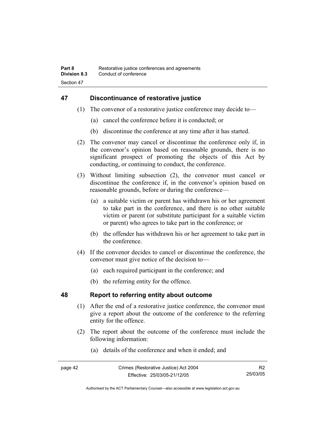## **47 Discontinuance of restorative justice**

- (1) The convenor of a restorative justice conference may decide to—
	- (a) cancel the conference before it is conducted; or
	- (b) discontinue the conference at any time after it has started.
- (2) The convenor may cancel or discontinue the conference only if, in the convenor's opinion based on reasonable grounds, there is no significant prospect of promoting the objects of this Act by conducting, or continuing to conduct, the conference.
- (3) Without limiting subsection (2), the convenor must cancel or discontinue the conference if, in the convenor's opinion based on reasonable grounds, before or during the conference—
	- (a) a suitable victim or parent has withdrawn his or her agreement to take part in the conference, and there is no other suitable victim or parent (or substitute participant for a suitable victim or parent) who agrees to take part in the conference; or
	- (b) the offender has withdrawn his or her agreement to take part in the conference.
- (4) If the convenor decides to cancel or discontinue the conference, the convenor must give notice of the decision to—
	- (a) each required participant in the conference; and
	- (b) the referring entity for the offence.

## **48 Report to referring entity about outcome**

- (1) After the end of a restorative justice conference, the convenor must give a report about the outcome of the conference to the referring entity for the offence.
- (2) The report about the outcome of the conference must include the following information:
	- (a) details of the conference and when it ended; and

| page 42 | Crimes (Restorative Justice) Act 2004 |          |
|---------|---------------------------------------|----------|
|         | Effective: 25/03/05-21/12/05          | 25/03/05 |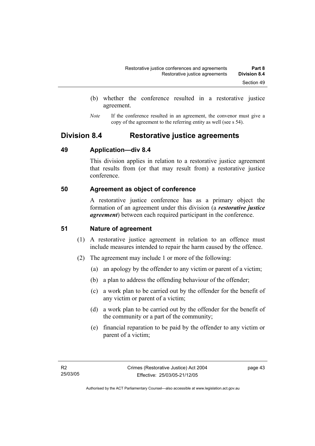- (b) whether the conference resulted in a restorative justice agreement.
- *Note* If the conference resulted in an agreement, the convenor must give a copy of the agreement to the referring entity as well (see s 54).

## **Division 8.4 Restorative justice agreements**

### **49 Application—div 8.4**

This division applies in relation to a restorative justice agreement that results from (or that may result from) a restorative justice conference.

## **50 Agreement as object of conference**

A restorative justice conference has as a primary object the formation of an agreement under this division (a *restorative justice agreement*) between each required participant in the conference.

## **51 Nature of agreement**

- (1) A restorative justice agreement in relation to an offence must include measures intended to repair the harm caused by the offence.
- (2) The agreement may include 1 or more of the following:
	- (a) an apology by the offender to any victim or parent of a victim;
	- (b) a plan to address the offending behaviour of the offender;
	- (c) a work plan to be carried out by the offender for the benefit of any victim or parent of a victim;
	- (d) a work plan to be carried out by the offender for the benefit of the community or a part of the community;
	- (e) financial reparation to be paid by the offender to any victim or parent of a victim;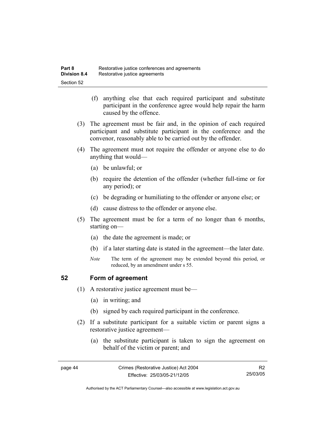- (f) anything else that each required participant and substitute participant in the conference agree would help repair the harm caused by the offence.
- (3) The agreement must be fair and, in the opinion of each required participant and substitute participant in the conference and the convenor, reasonably able to be carried out by the offender.
- (4) The agreement must not require the offender or anyone else to do anything that would—
	- (a) be unlawful; or
	- (b) require the detention of the offender (whether full-time or for any period); or
	- (c) be degrading or humiliating to the offender or anyone else; or
	- (d) cause distress to the offender or anyone else.
- (5) The agreement must be for a term of no longer than 6 months, starting on—
	- (a) the date the agreement is made; or
	- (b) if a later starting date is stated in the agreement—the later date.
	- *Note* The term of the agreement may be extended beyond this period, or reduced, by an amendment under s 55.

#### **52 Form of agreement**

- (1) A restorative justice agreement must be—
	- (a) in writing; and
	- (b) signed by each required participant in the conference.
- (2) If a substitute participant for a suitable victim or parent signs a restorative justice agreement—
	- (a) the substitute participant is taken to sign the agreement on behalf of the victim or parent; and

R2 25/03/05

Authorised by the ACT Parliamentary Counsel—also accessible at www.legislation.act.gov.au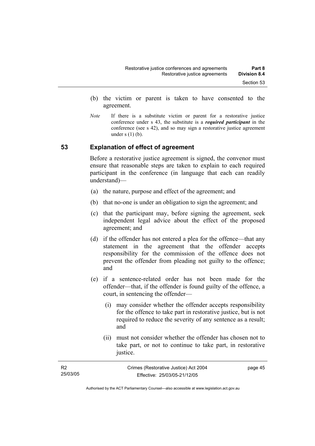- (b) the victim or parent is taken to have consented to the agreement.
- *Note* If there is a substitute victim or parent for a restorative justice conference under s 43, the substitute is a *required participant* in the conference (see s 42), and so may sign a restorative justice agreement under  $s(1)(b)$ .

#### **53 Explanation of effect of agreement**

Before a restorative justice agreement is signed, the convenor must ensure that reasonable steps are taken to explain to each required participant in the conference (in language that each can readily understand)—

- (a) the nature, purpose and effect of the agreement; and
- (b) that no-one is under an obligation to sign the agreement; and
- (c) that the participant may, before signing the agreement, seek independent legal advice about the effect of the proposed agreement; and
- (d) if the offender has not entered a plea for the offence—that any statement in the agreement that the offender accepts responsibility for the commission of the offence does not prevent the offender from pleading not guilty to the offence; and
- (e) if a sentence-related order has not been made for the offender—that, if the offender is found guilty of the offence, a court, in sentencing the offender—
	- (i) may consider whether the offender accepts responsibility for the offence to take part in restorative justice, but is not required to reduce the severity of any sentence as a result; and
	- (ii) must not consider whether the offender has chosen not to take part, or not to continue to take part, in restorative justice.

| <b>R2</b> | Crimes (Restorative Justice) Act 2004 | page 45 |
|-----------|---------------------------------------|---------|
| 25/03/05  | Effective: 25/03/05-21/12/05          |         |
|           |                                       |         |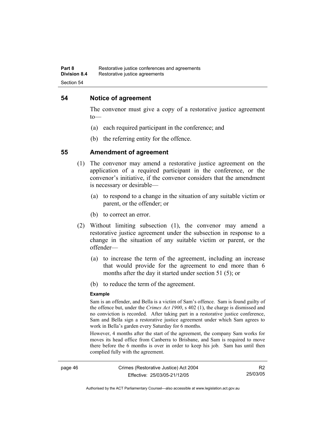#### **54 Notice of agreement**

The convenor must give a copy of a restorative justice agreement to—

- (a) each required participant in the conference; and
- (b) the referring entity for the offence.

#### **55 Amendment of agreement**

- (1) The convenor may amend a restorative justice agreement on the application of a required participant in the conference, or the convenor's initiative, if the convenor considers that the amendment is necessary or desirable—
	- (a) to respond to a change in the situation of any suitable victim or parent, or the offender; or
	- (b) to correct an error.
- (2) Without limiting subsection (1), the convenor may amend a restorative justice agreement under the subsection in response to a change in the situation of any suitable victim or parent, or the offender—
	- (a) to increase the term of the agreement, including an increase that would provide for the agreement to end more than 6 months after the day it started under section 51 (5); or
	- (b) to reduce the term of the agreement.

#### **Example**

Sam is an offender, and Bella is a victim of Sam's offence. Sam is found guilty of the offence but, under the *Crimes Act 1900*, s 402 (1), the charge is dismissed and no conviction is recorded. After taking part in a restorative justice conference, Sam and Bella sign a restorative justice agreement under which Sam agrees to work in Bella's garden every Saturday for 6 months.

However, 4 months after the start of the agreement, the company Sam works for moves its head office from Canberra to Brisbane, and Sam is required to move there before the 6 months is over in order to keep his job. Sam has until then complied fully with the agreement.

R2 25/03/05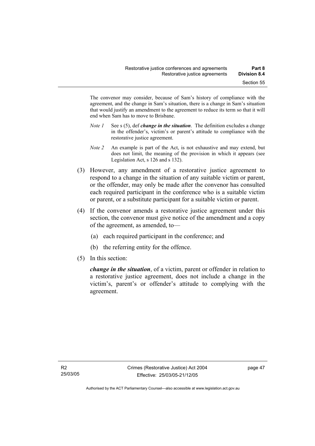The convenor may consider, because of Sam's history of compliance with the agreement, and the change in Sam's situation, there is a change in Sam's situation that would justify an amendment to the agreement to reduce its term so that it will end when Sam has to move to Brisbane.

- *Note 1* See s (5), def *change in the situation*. The definition excludes a change in the offender's, victim's or parent's attitude to compliance with the restorative justice agreement.
- *Note 2* An example is part of the Act, is not exhaustive and may extend, but does not limit, the meaning of the provision in which it appears (see Legislation Act, s 126 and s 132).
- (3) However, any amendment of a restorative justice agreement to respond to a change in the situation of any suitable victim or parent, or the offender, may only be made after the convenor has consulted each required participant in the conference who is a suitable victim or parent, or a substitute participant for a suitable victim or parent.
- (4) If the convenor amends a restorative justice agreement under this section, the convenor must give notice of the amendment and a copy of the agreement, as amended, to—
	- (a) each required participant in the conference; and
	- (b) the referring entity for the offence.
- (5) In this section:

*change in the situation*, of a victim, parent or offender in relation to a restorative justice agreement, does not include a change in the victim's, parent's or offender's attitude to complying with the agreement.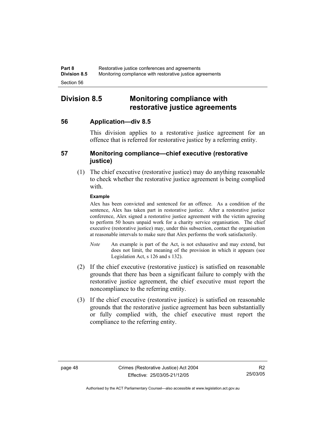# **Division 8.5 Monitoring compliance with restorative justice agreements**

## **56 Application—div 8.5**

This division applies to a restorative justice agreement for an offence that is referred for restorative justice by a referring entity.

## **57 Monitoring compliance—chief executive (restorative justice)**

 (1) The chief executive (restorative justice) may do anything reasonable to check whether the restorative justice agreement is being complied with.

#### **Example**

Alex has been convicted and sentenced for an offence. As a condition of the sentence, Alex has taken part in restorative justice. After a restorative justice conference, Alex signed a restorative justice agreement with the victim agreeing to perform 50 hours unpaid work for a charity service organisation. The chief executive (restorative justice) may, under this subsection, contact the organisation at reasonable intervals to make sure that Alex performs the work satisfactorily.

- *Note* An example is part of the Act, is not exhaustive and may extend, but does not limit, the meaning of the provision in which it appears (see Legislation Act, s 126 and s 132).
- (2) If the chief executive (restorative justice) is satisfied on reasonable grounds that there has been a significant failure to comply with the restorative justice agreement, the chief executive must report the noncompliance to the referring entity.
- (3) If the chief executive (restorative justice) is satisfied on reasonable grounds that the restorative justice agreement has been substantially or fully complied with, the chief executive must report the compliance to the referring entity.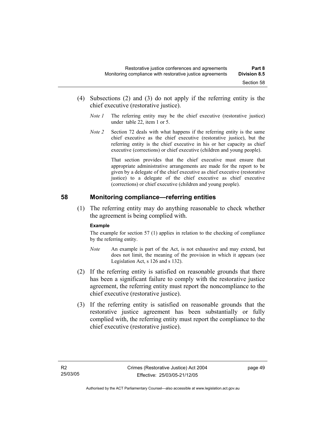- (4) Subsections (2) and (3) do not apply if the referring entity is the chief executive (restorative justice).
	- *Note 1* The referring entity may be the chief executive (restorative justice) under table 22, item 1 or 5.
	- *Note 2* Section 72 deals with what happens if the referring entity is the same chief executive as the chief executive (restorative justice), but the referring entity is the chief executive in his or her capacity as chief executive (corrections) or chief executive (children and young people).

 That section provides that the chief executive must ensure that appropriate administrative arrangements are made for the report to be given by a delegate of the chief executive as chief executive (restorative justice) to a delegate of the chief executive as chief executive (corrections) or chief executive (children and young people).

#### **58 Monitoring compliance—referring entities**

 (1) The referring entity may do anything reasonable to check whether the agreement is being complied with.

#### **Example**

The example for section 57 (1) applies in relation to the checking of compliance by the referring entity.

- *Note* An example is part of the Act, is not exhaustive and may extend, but does not limit, the meaning of the provision in which it appears (see Legislation Act, s 126 and s 132).
- (2) If the referring entity is satisfied on reasonable grounds that there has been a significant failure to comply with the restorative justice agreement, the referring entity must report the noncompliance to the chief executive (restorative justice).
- (3) If the referring entity is satisfied on reasonable grounds that the restorative justice agreement has been substantially or fully complied with, the referring entity must report the compliance to the chief executive (restorative justice).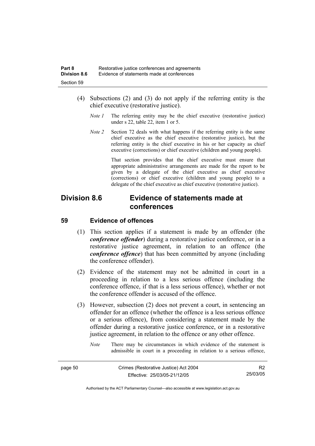- (4) Subsections (2) and (3) do not apply if the referring entity is the chief executive (restorative justice).
	- *Note 1* The referring entity may be the chief executive (restorative justice) under s 22, table 22, item 1 or 5.
	- *Note 2* Section 72 deals with what happens if the referring entity is the same chief executive as the chief executive (restorative justice), but the referring entity is the chief executive in his or her capacity as chief executive (corrections) or chief executive (children and young people).

 That section provides that the chief executive must ensure that appropriate administrative arrangements are made for the report to be given by a delegate of the chief executive as chief executive (corrections) or chief executive (children and young people) to a delegate of the chief executive as chief executive (restorative justice).

## **Division 8.6 Evidence of statements made at conferences**

#### **59 Evidence of offences**

- (1) This section applies if a statement is made by an offender (the *conference offender*) during a restorative justice conference, or in a restorative justice agreement, in relation to an offence (the *conference offence*) that has been committed by anyone (including the conference offender).
- (2) Evidence of the statement may not be admitted in court in a proceeding in relation to a less serious offence (including the conference offence, if that is a less serious offence), whether or not the conference offender is accused of the offence.
- (3) However, subsection (2) does not prevent a court, in sentencing an offender for an offence (whether the offence is a less serious offence or a serious offence), from considering a statement made by the offender during a restorative justice conference, or in a restorative justice agreement, in relation to the offence or any other offence.
	- *Note* There may be circumstances in which evidence of the statement is admissible in court in a proceeding in relation to a serious offence,

R2 25/03/05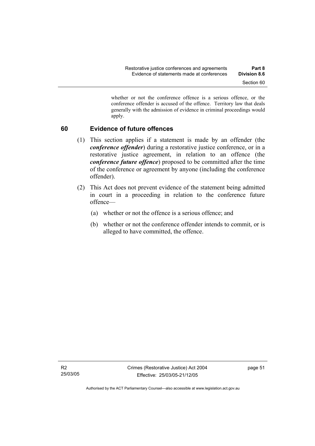whether or not the conference offence is a serious offence, or the conference offender is accused of the offence. Territory law that deals generally with the admission of evidence in criminal proceedings would apply.

#### **60 Evidence of future offences**

- (1) This section applies if a statement is made by an offender (the *conference offender*) during a restorative justice conference, or in a restorative justice agreement, in relation to an offence (the *conference future offence*) proposed to be committed after the time of the conference or agreement by anyone (including the conference offender).
- (2) This Act does not prevent evidence of the statement being admitted in court in a proceeding in relation to the conference future offence—
	- (a) whether or not the offence is a serious offence; and
	- (b) whether or not the conference offender intends to commit, or is alleged to have committed, the offence.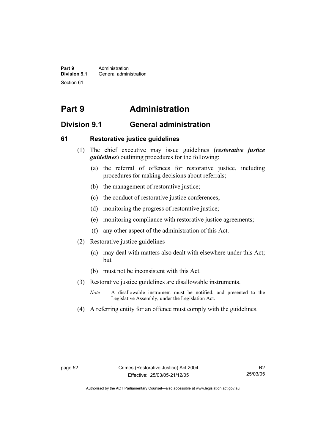**Part 9 Administration**<br>**Division 9.1 General adminity Division 9.1** General administration Section 61

# **Part 9 Administration**

## **Division 9.1 General administration**

### **61 Restorative justice guidelines**

- (1) The chief executive may issue guidelines (*restorative justice guidelines*) outlining procedures for the following:
	- (a) the referral of offences for restorative justice, including procedures for making decisions about referrals;
	- (b) the management of restorative justice;
	- (c) the conduct of restorative justice conferences;
	- (d) monitoring the progress of restorative justice;
	- (e) monitoring compliance with restorative justice agreements;
	- (f) any other aspect of the administration of this Act.
- (2) Restorative justice guidelines—
	- (a) may deal with matters also dealt with elsewhere under this Act; but
	- (b) must not be inconsistent with this Act.
- (3) Restorative justice guidelines are disallowable instruments.
	- *Note* A disallowable instrument must be notified, and presented to the Legislative Assembly, under the Legislation Act.
- (4) A referring entity for an offence must comply with the guidelines.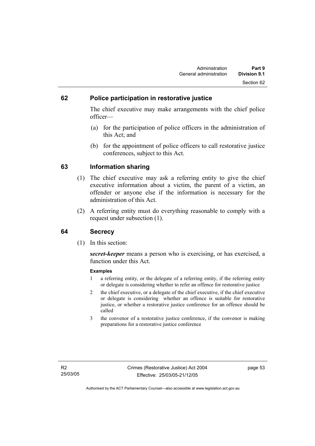## **62 Police participation in restorative justice**

The chief executive may make arrangements with the chief police officer—

- (a) for the participation of police officers in the administration of this Act; and
- (b) for the appointment of police officers to call restorative justice conferences, subject to this Act.

#### **63 Information sharing**

- (1) The chief executive may ask a referring entity to give the chief executive information about a victim, the parent of a victim, an offender or anyone else if the information is necessary for the administration of this Act.
- (2) A referring entity must do everything reasonable to comply with a request under subsection (1).

#### **64 Secrecy**

(1) In this section:

*secret-keeper* means a person who is exercising, or has exercised, a function under this Act.

#### **Examples**

- 1 a referring entity, or the delegate of a referring entity, if the referring entity or delegate is considering whether to refer an offence for restorative justice
- 2 the chief executive, or a delegate of the chief executive, if the chief executive or delegate is considering whether an offence is suitable for restorative justice, or whether a restorative justice conference for an offence should be called
- 3 the convenor of a restorative justice conference, if the convenor is making preparations for a restorative justice conference

page 53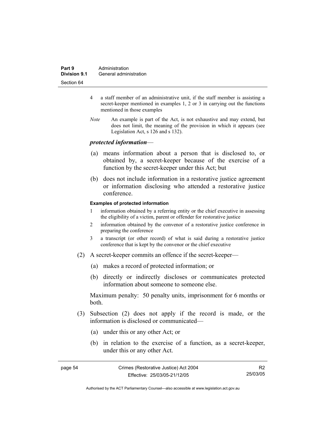| Part 9       | Administration         |
|--------------|------------------------|
| Division 9.1 | General administration |
| Section 64   |                        |

- 4 a staff member of an administrative unit, if the staff member is assisting a secret-keeper mentioned in examples 1, 2 or 3 in carrying out the functions mentioned in those examples
- *Note* An example is part of the Act, is not exhaustive and may extend, but does not limit, the meaning of the provision in which it appears (see Legislation Act, s 126 and s 132).

#### *protected information*—

- (a) means information about a person that is disclosed to, or obtained by, a secret-keeper because of the exercise of a function by the secret-keeper under this Act; but
- (b) does not include information in a restorative justice agreement or information disclosing who attended a restorative justice conference.

#### **Examples of protected information**

- 1 information obtained by a referring entity or the chief executive in assessing the eligibility of a victim, parent or offender for restorative justice
- 2 information obtained by the convenor of a restorative justice conference in preparing the conference
- 3 a transcript (or other record) of what is said during a restorative justice conference that is kept by the convenor or the chief executive
- (2) A secret-keeper commits an offence if the secret-keeper—
	- (a) makes a record of protected information; or
	- (b) directly or indirectly discloses or communicates protected information about someone to someone else.

Maximum penalty: 50 penalty units, imprisonment for 6 months or both.

- (3) Subsection (2) does not apply if the record is made, or the information is disclosed or communicated—
	- (a) under this or any other Act; or
	- (b) in relation to the exercise of a function, as a secret-keeper, under this or any other Act.

R2 25/03/05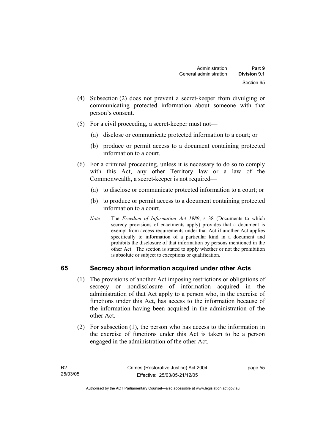- (4) Subsection (2) does not prevent a secret-keeper from divulging or communicating protected information about someone with that person's consent.
- (5) For a civil proceeding, a secret-keeper must not—
	- (a) disclose or communicate protected information to a court; or
	- (b) produce or permit access to a document containing protected information to a court.
- (6) For a criminal proceeding, unless it is necessary to do so to comply with this Act, any other Territory law or a law of the Commonwealth, a secret-keeper is not required—
	- (a) to disclose or communicate protected information to a court; or
	- (b) to produce or permit access to a document containing protected information to a court.
	- *Note* The *Freedom of Information Act 1989*, s 38 (Documents to which secrecy provisions of enactments apply) provides that a document is exempt from access requirements under that Act if another Act applies specifically to information of a particular kind in a document and prohibits the disclosure of that information by persons mentioned in the other Act. The section is stated to apply whether or not the prohibition is absolute or subject to exceptions or qualification.

## **65 Secrecy about information acquired under other Acts**

- (1) The provisions of another Act imposing restrictions or obligations of secrecy or nondisclosure of information acquired in the administration of that Act apply to a person who, in the exercise of functions under this Act, has access to the information because of the information having been acquired in the administration of the other Act.
- (2) For subsection (1), the person who has access to the information in the exercise of functions under this Act is taken to be a person engaged in the administration of the other Act.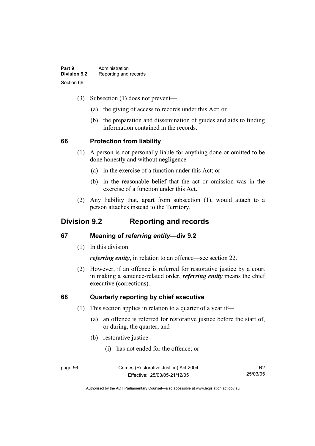| Part 9              | Administration        |
|---------------------|-----------------------|
| <b>Division 9.2</b> | Reporting and records |
| Section 66          |                       |

- (3) Subsection (1) does not prevent—
	- (a) the giving of access to records under this Act; or
	- (b) the preparation and dissemination of guides and aids to finding information contained in the records.

#### **66 Protection from liability**

- (1) A person is not personally liable for anything done or omitted to be done honestly and without negligence—
	- (a) in the exercise of a function under this Act; or
	- (b) in the reasonable belief that the act or omission was in the exercise of a function under this Act.
- (2) Any liability that, apart from subsection (1), would attach to a person attaches instead to the Territory.

## **Division 9.2 Reporting and records**

#### **67 Meaning of** *referring entity—***div 9.2**

(1) In this division:

*referring entity*, in relation to an offence—see section 22.

 (2) However, if an offence is referred for restorative justice by a court in making a sentence-related order, *referring entity* means the chief executive (corrections).

#### **68 Quarterly reporting by chief executive**

- (1) This section applies in relation to a quarter of a year if—
	- (a) an offence is referred for restorative justice before the start of, or during, the quarter; and
	- (b) restorative justice—
		- (i) has not ended for the offence; or

page 56 Crimes (Restorative Justice) Act 2004 Effective: 25/03/05-21/12/05

R2 25/03/05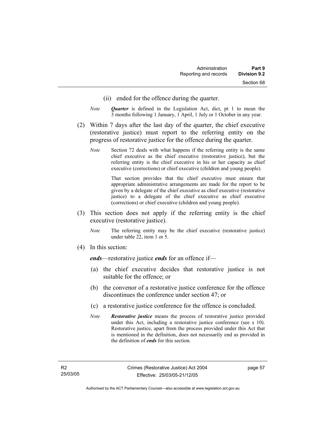- (ii) ended for the offence during the quarter.
- *Note Quarter* is defined in the Legislation Act, dict, pt 1 to mean the 3 months following 1 January, 1 April, 1 July or 1 October in any year.
- (2) Within 7 days after the last day of the quarter, the chief executive (restorative justice) must report to the referring entity on the progress of restorative justice for the offence during the quarter.
	- *Note* Section 72 deals with what happens if the referring entity is the same chief executive as the chief executive (restorative justice), but the referring entity is the chief executive in his or her capacity as chief executive (corrections) or chief executive (children and young people).

 That section provides that the chief executive must ensure that appropriate administrative arrangements are made for the report to be given by a delegate of the chief executive as chief executive (restorative justice) to a delegate of the chief executive as chief executive (corrections) or chief executive (children and young people).

- (3) This section does not apply if the referring entity is the chief executive (restorative justice).
	- *Note* The referring entity may be the chief executive (restorative justice) under table 22, item 1 or 5.
- (4) In this section:

*ends*—restorative justice *ends* for an offence if—

- (a) the chief executive decides that restorative justice is not suitable for the offence; or
- (b) the convenor of a restorative justice conference for the offence discontinues the conference under section 47; or
- (c) a restorative justice conference for the offence is concluded.
- *Note Restorative justice* means the process of restorative justice provided under this Act, including a restorative justice conference (see s 10). Restorative justice, apart from the process provided under this Act that is mentioned in the definition, does not necessarily end as provided in the definition of *ends* for this section.

page 57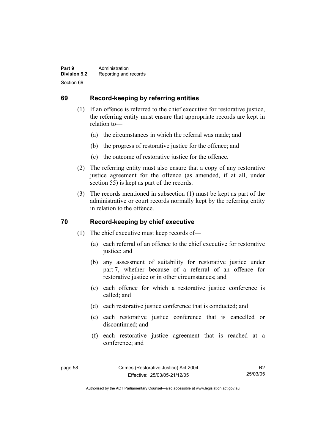## **69 Record-keeping by referring entities**

- (1) If an offence is referred to the chief executive for restorative justice, the referring entity must ensure that appropriate records are kept in relation to—
	- (a) the circumstances in which the referral was made; and
	- (b) the progress of restorative justice for the offence; and
	- (c) the outcome of restorative justice for the offence.
- (2) The referring entity must also ensure that a copy of any restorative justice agreement for the offence (as amended, if at all, under section 55) is kept as part of the records.
- (3) The records mentioned in subsection (1) must be kept as part of the administrative or court records normally kept by the referring entity in relation to the offence.

### **70 Record-keeping by chief executive**

- (1) The chief executive must keep records of—
	- (a) each referral of an offence to the chief executive for restorative justice; and
	- (b) any assessment of suitability for restorative justice under part 7, whether because of a referral of an offence for restorative justice or in other circumstances; and
	- (c) each offence for which a restorative justice conference is called; and
	- (d) each restorative justice conference that is conducted; and
	- (e) each restorative justice conference that is cancelled or discontinued; and
	- (f) each restorative justice agreement that is reached at a conference; and

R2 25/03/05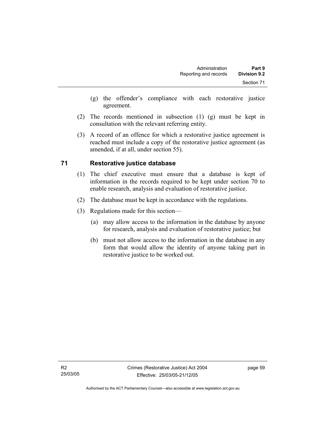- (g) the offender's compliance with each restorative justice agreement.
- (2) The records mentioned in subsection (1) (g) must be kept in consultation with the relevant referring entity.
- (3) A record of an offence for which a restorative justice agreement is reached must include a copy of the restorative justice agreement (as amended, if at all, under section 55).

## **71 Restorative justice database**

- (1) The chief executive must ensure that a database is kept of information in the records required to be kept under section 70 to enable research, analysis and evaluation of restorative justice.
- (2) The database must be kept in accordance with the regulations.
- (3) Regulations made for this section—
	- (a) may allow access to the information in the database by anyone for research, analysis and evaluation of restorative justice; but
	- (b) must not allow access to the information in the database in any form that would allow the identity of anyone taking part in restorative justice to be worked out.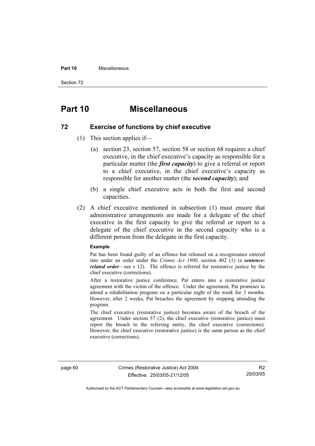#### **Part 10** Miscellaneous

Section 72

# **Part 10 Miscellaneous**

### **72 Exercise of functions by chief executive**

- (1) This section applies if—
	- (a) section 23, section 57, section 58 or section 68 requires a chief executive, in the chief executive's capacity as responsible for a particular matter (the *first capacity*) to give a referral or report to a chief executive, in the chief executive's capacity as responsible for another matter (the *second capacity*); and
	- (b) a single chief executive acts in both the first and second capacities.
- (2) A chief executive mentioned in subsection (1) must ensure that administrative arrangements are made for a delegate of the chief executive in the first capacity to give the referral or report to a delegate of the chief executive in the second capacity who is a different person from the delegate in the first capacity.

#### **Example**

Pat has been found guilty of an offence but released on a recognisance entered into under an order under the *Crimes Act 1900*, section 402 (1) (a *sentencerelated order*—see s 12). The offence is referred for restorative justice by the chief executive (corrections).

After a restorative justice conference, Pat enters into a restorative justice agreement with the victim of the offence. Under the agreement, Pat promises to attend a rehabilitation program on a particular night of the week for 3 months. However, after 2 weeks, Pat breaches the agreement by stopping attending the program.

The chief executive (restorative justice) becomes aware of the breach of the agreement. Under section 57 (2), the chief executive (restorative justice) must report the breach to the referring entity, the chief executive (corrections). However, the chief executive (restorative justice) is the same person as the chief executive (corrections).

page 60 Crimes (Restorative Justice) Act 2004 Effective: 25/03/05-21/12/05

R2 25/03/05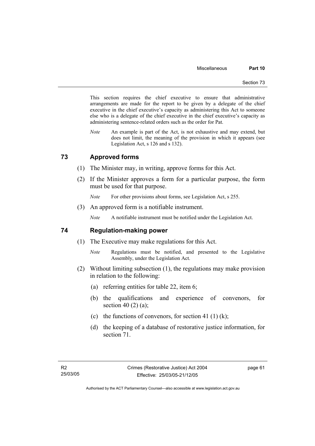This section requires the chief executive to ensure that administrative arrangements are made for the report to be given by a delegate of the chief executive in the chief executive's capacity as administering this Act to someone else who is a delegate of the chief executive in the chief executive's capacity as administering sentence-related orders such as the order for Pat.

*Note* An example is part of the Act, is not exhaustive and may extend, but does not limit, the meaning of the provision in which it appears (see Legislation Act, s 126 and s 132).

#### **73 Approved forms**

- (1) The Minister may, in writing, approve forms for this Act.
- (2) If the Minister approves a form for a particular purpose, the form must be used for that purpose.

*Note* For other provisions about forms, see Legislation Act, s 255.

(3) An approved form is a notifiable instrument.

*Note* A notifiable instrument must be notified under the Legislation Act.

#### **74 Regulation-making power**

- (1) The Executive may make regulations for this Act.
	- *Note* Regulations must be notified, and presented to the Legislative Assembly, under the Legislation Act.
- (2) Without limiting subsection (1), the regulations may make provision in relation to the following:
	- (a) referring entities for table 22, item 6;
	- (b) the qualifications and experience of convenors, for section 40 $(2)$  $(a)$ ;
	- (c) the functions of convenors, for section 41 (1) (k);
	- (d) the keeping of a database of restorative justice information, for section 71.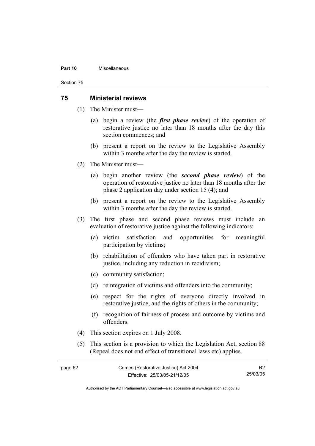#### **Part 10** Miscellaneous

Section 75

#### **75 Ministerial reviews**

- (1) The Minister must—
	- (a) begin a review (the *first phase review*) of the operation of restorative justice no later than 18 months after the day this section commences; and
	- (b) present a report on the review to the Legislative Assembly within 3 months after the day the review is started.
- (2) The Minister must—
	- (a) begin another review (the *second phase review*) of the operation of restorative justice no later than 18 months after the phase 2 application day under section 15 (4); and
	- (b) present a report on the review to the Legislative Assembly within 3 months after the day the review is started.
- (3) The first phase and second phase reviews must include an evaluation of restorative justice against the following indicators:
	- (a) victim satisfaction and opportunities for meaningful participation by victims;
	- (b) rehabilitation of offenders who have taken part in restorative justice, including any reduction in recidivism;
	- (c) community satisfaction;
	- (d) reintegration of victims and offenders into the community;
	- (e) respect for the rights of everyone directly involved in restorative justice, and the rights of others in the community;
	- (f) recognition of fairness of process and outcome by victims and offenders.
- (4) This section expires on 1 July 2008.
- (5) This section is a provision to which the Legislation Act, section 88 (Repeal does not end effect of transitional laws etc) applies.

| page 62 | Crimes (Restorative Justice) Act 2004 | R <sub>2</sub> |
|---------|---------------------------------------|----------------|
|         | Effective: 25/03/05-21/12/05          | 25/03/05       |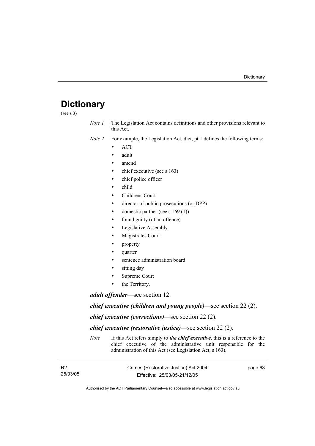# **Dictionary**

(see s 3)

- *Note 1* The Legislation Act contains definitions and other provisions relevant to this Act.
- *Note 2* For example, the Legislation Act, dict, pt 1 defines the following terms:
	- ACT
	- adult
	- amend
	- chief executive (see s 163)
	- chief police officer
	- child
	- Childrens Court
	- director of public prosecutions (or DPP)
	- domestic partner (see s 169 (1))
	- found guilty (of an offence)
	- Legislative Assembly
	- Magistrates Court
	- property
	- quarter
	- sentence administration board
	- sitting day
	- Supreme Court
	- the Territory.

*adult offender*—see section 12.

*chief executive (children and young people)*—see section 22 (2).

*chief executive (corrections)*—see section 22 (2).

*chief executive (restorative justice)*—see section 22 (2).

*Note* If this Act refers simply to *the chief executive*, this is a reference to the chief executive of the administrative unit responsible for the administration of this Act (see Legislation Act, s 163).

| - R2     | Crimes (Restorative Justice) Act 2004 | page 63 |
|----------|---------------------------------------|---------|
| 25/03/05 | Effective: 25/03/05-21/12/05          |         |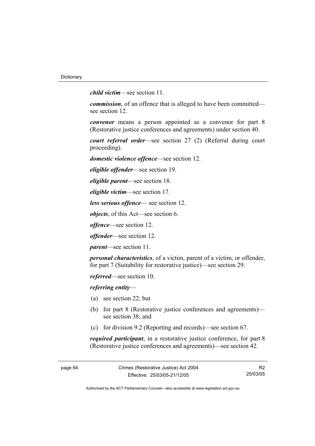*child victim*—see section 11.

*commission*, of an offence that is alleged to have been committed see section 12.

*convenor* means a person appointed as a convenor for part 8 (Restorative justice conferences and agreements) under section 40.

*court referral order*—see section 27 (2) (Referral during court proceeding).

*domestic violence offence*—see section 12.

*eligible offender*—see section 19.

*eligible parent*—see section 18.

*eligible victim*—see section 17.

*less serious offence*— see section 12.

*objects*, of this Act—see section 6.

*offence*—see section 12.

*offender*—see section 12.

*parent*—see section 11.

*personal characteristics*, of a victim, parent of a victim, or offender, for part 7 (Suitability for restorative justice)—see section 29.

*referred*—see section 10.

*referring entity*—

- (a) see section 22; but
- (b) for part 8 (Restorative justice conferences and agreements) see section 38; and
- (c) for division 9.2 (Reporting and records)—see section 67.

*required participant*, in a restorative justice conference, for part 8 (Restorative justice conferences and agreements)—see section 42.

R2 25/03/05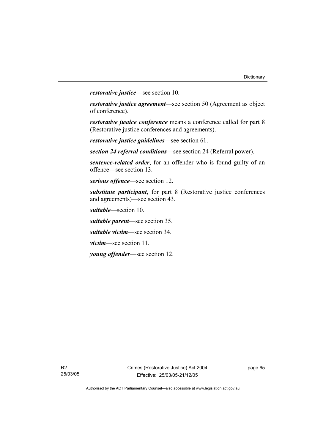*restorative justice*—see section 10.

*restorative justice agreement*—see section 50 (Agreement as object of conference).

*restorative justice conference* means a conference called for part 8 (Restorative justice conferences and agreements).

*restorative justice guidelines*—see section 61.

*section 24 referral conditions*—see section 24 (Referral power).

*sentence-related order*, for an offender who is found guilty of an offence—see section 13.

*serious offence*—see section 12.

*substitute participant*, for part 8 (Restorative justice conferences and agreements)—see section 43.

*suitable*—section 10.

*suitable parent*—see section 35.

*suitable victim*—see section 34.

*victim*—see section 11.

*young offender*—see section 12.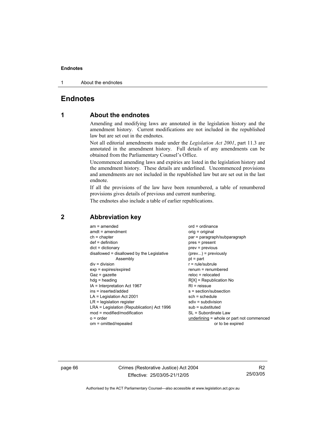#### **Endnotes**

1 About the endnotes

## **Endnotes**

## **1 About the endnotes**

Amending and modifying laws are annotated in the legislation history and the amendment history. Current modifications are not included in the republished law but are set out in the endnotes.

Not all editorial amendments made under the *Legislation Act 2001*, part 11.3 are annotated in the amendment history. Full details of any amendments can be obtained from the Parliamentary Counsel's Office.

Uncommenced amending laws and expiries are listed in the legislation history and the amendment history. These details are underlined. Uncommenced provisions and amendments are not included in the republished law but are set out in the last endnote.

If all the provisions of the law have been renumbered, a table of renumbered provisions gives details of previous and current numbering.

The endnotes also include a table of earlier republications.

| $hdg =$ heading<br>$R[X]$ = Republication No                                                                                                                                                                                                                                                                                                                                     | $ord = ordinance$<br>par = paragraph/subparagraph<br>prev = previous<br>$(\text{prev}) = \text{previously}$<br>$r = rule/subrule$<br>renum = renumbered<br>$reloc = relocated$ |
|----------------------------------------------------------------------------------------------------------------------------------------------------------------------------------------------------------------------------------------------------------------------------------------------------------------------------------------------------------------------------------|--------------------------------------------------------------------------------------------------------------------------------------------------------------------------------|
| IA = Interpretation Act 1967<br>$RI =$ reissue<br>ins = inserted/added<br>s = section/subsection<br>$LA =$ Legislation Act 2001<br>$sch = schedule$<br>$LR =$ legislation register<br>$sdiv = subdivision$<br>LRA = Legislation (Republication) Act 1996<br>$sub =$ substituted<br>$mod = modified/modification$<br>SL = Subordinate Law<br>$o = order$<br>om = omitted/repealed | underlining = whole or part not commenced<br>or to be expired                                                                                                                  |

### **2 Abbreviation key**

page 66 Crimes (Restorative Justice) Act 2004 Effective: 25/03/05-21/12/05

R2 25/03/05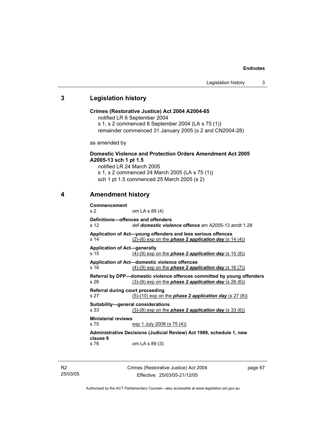#### **Endnotes**

## **3 Legislation history**

# **Crimes (Restorative Justice) Act 2004 A2004-65**

notified LR 6 September 2004

s 1, s 2 commenced 6 September 2004 (LA s 75 (1))

remainder commenced 31 January 2005 (s 2 and CN2004-28)

as amended by

### **Domestic Violence and Protection Orders Amendment Act 2005 A2005-13 sch 1 pt 1.5**

notified LR 24 March 2005 s 1, s 2 commenced 24 March 2005 (LA s 75 (1)) sch 1 pt 1.5 commenced 25 March 2005 (s 2)

# **4 Amendment history**

| <b>Commencement</b><br>s <sub>2</sub>                                            | om LA s 89 (4)                                                                                                                             |  |  |  |
|----------------------------------------------------------------------------------|--------------------------------------------------------------------------------------------------------------------------------------------|--|--|--|
| s 12                                                                             | Definitions-offences and offenders<br>def <i>domestic violence offence</i> am A2005-13 amdt 1.28                                           |  |  |  |
| s 14                                                                             | Application of Act-young offenders and less serious offences<br>$(2)-(6)$ exp on the <b>phase 2 application day</b> $(s 14 (4))$           |  |  |  |
| <b>Application of Act-generally</b><br>s 15                                      | $(4)-(9)$ exp on the <b>phase 2 application day</b> (s 15 $(8)$ )                                                                          |  |  |  |
| s 16                                                                             | Application of Act-domestic violence offences<br>$(4)-(9)$ exp on the <b>phase 2 application day</b> (s 16 (7))                            |  |  |  |
| s 26                                                                             | Referral by DPP—domestic violence offences committed by young offenders<br>$(3)-(8)$ exp on the <b>phase 2 application day</b> $(s 26(6))$ |  |  |  |
| Referral during court proceeding<br>s 27                                         | $(5)-(10)$ exp on the <b>phase 2 application day</b> (s 27 (8))                                                                            |  |  |  |
| Suitability-general considerations                                               |                                                                                                                                            |  |  |  |
| s 33                                                                             | $(3)-(8)$ exp on the <b>phase 2 application day</b> $(s 33 (6))$                                                                           |  |  |  |
| <b>Ministerial reviews</b>                                                       |                                                                                                                                            |  |  |  |
| s 75                                                                             | exp 1 July 2008 (s 75 (4))                                                                                                                 |  |  |  |
| Administrative Decisions (Judicial Review) Act 1989, schedule 1, new<br>clause 9 |                                                                                                                                            |  |  |  |
| s 76                                                                             | om LA s 89 (3)                                                                                                                             |  |  |  |

R2 25/03/05 Crimes (Restorative Justice) Act 2004 Effective: 25/03/05-21/12/05

page 67